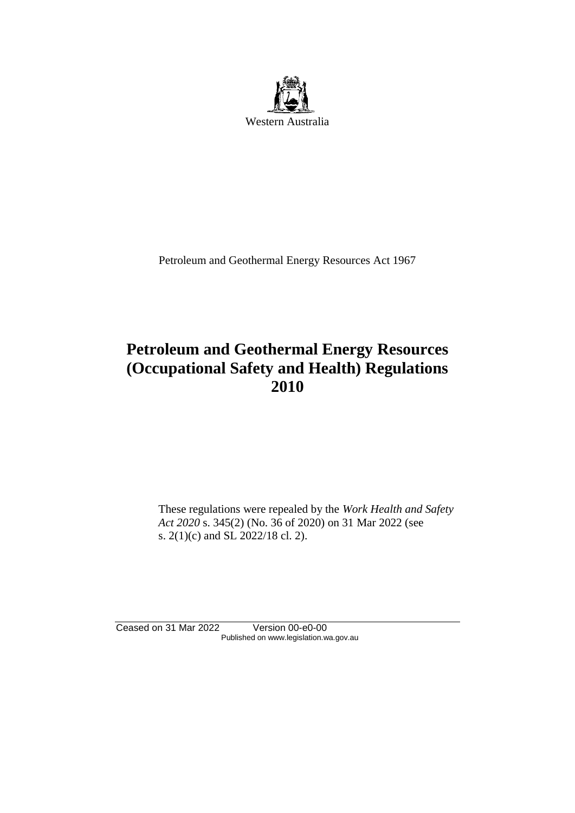

Petroleum and Geothermal Energy Resources Act 1967

# **Petroleum and Geothermal Energy Resources (Occupational Safety and Health) Regulations 2010**

These regulations were repealed by the *Work Health and Safety Act 2020* s. 345(2) (No. 36 of 2020) on 31 Mar 2022 (see s. 2(1)(c) and SL 2022/18 cl. 2).

Ceased on 31 Mar 2022 Version 00-e0-00 Published on www.legislation.wa.gov.au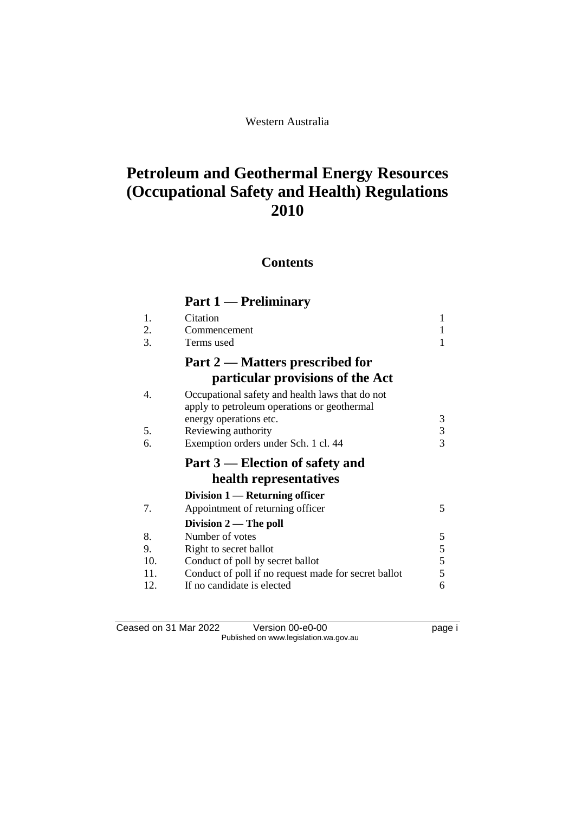# **Contents**

# **Part 1 — Preliminary**

| 1.  | Citation                                                                                       | 1 |
|-----|------------------------------------------------------------------------------------------------|---|
| 2.  | Commencement                                                                                   |   |
| 3.  | Terms used                                                                                     |   |
|     | Part 2 — Matters prescribed for                                                                |   |
|     | particular provisions of the Act                                                               |   |
| 4.  | Occupational safety and health laws that do not<br>apply to petroleum operations or geothermal |   |
|     | energy operations etc.                                                                         | 3 |
| 5.  | Reviewing authority                                                                            | 3 |
| 6.  | Exemption orders under Sch. 1 cl. 44                                                           | 3 |
|     | Part 3 – Election of safety and                                                                |   |
|     | health representatives                                                                         |   |
|     | Division $1$ — Returning officer                                                               |   |
| 7.  | Appointment of returning officer                                                               | 5 |
|     | Division $2-$ The poll                                                                         |   |
| 8.  | Number of votes                                                                                | 5 |
| 9.  | Right to secret ballot                                                                         | 5 |
| 10. | Conduct of poll by secret ballot                                                               | 5 |
| 11. | Conduct of poll if no request made for secret ballot                                           | 5 |
| 12. | If no candidate is elected                                                                     | 6 |
|     |                                                                                                |   |

| Ceased on 31 Mar 2022                  | Version 00-e0-00 | page i |
|----------------------------------------|------------------|--------|
| Published on www.legislation.wa.gov.au |                  |        |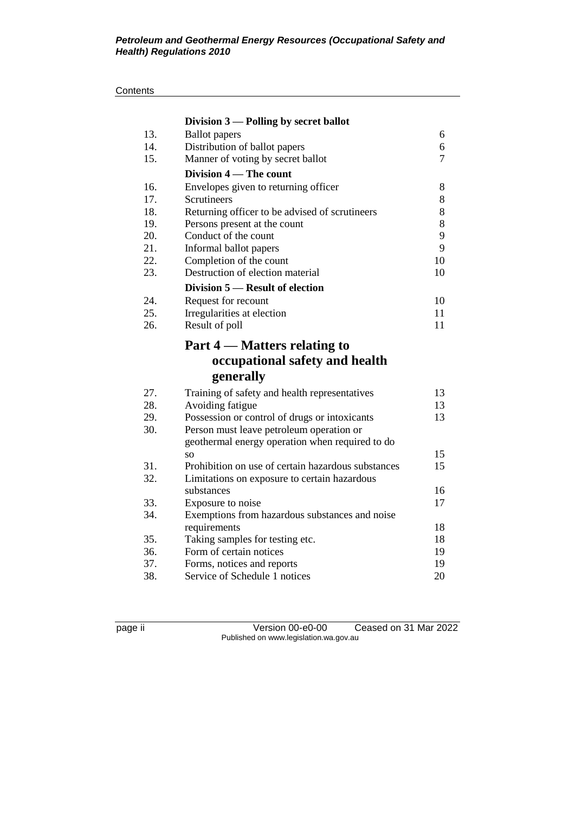|            | Division $3$ — Polling by secret ballot                     |          |
|------------|-------------------------------------------------------------|----------|
| 13.        | <b>Ballot</b> papers                                        | 6        |
| 14.        | Distribution of ballot papers                               | 6        |
| 15.        | Manner of voting by secret ballot                           | 7        |
|            | Division 4 – The count                                      |          |
| 16.        | Envelopes given to returning officer                        | 8        |
| 17.        | Scrutineers                                                 | 8        |
| 18.        | Returning officer to be advised of scrutineers              | 8        |
| 19.        | Persons present at the count                                | 8        |
| 20.        | Conduct of the count                                        | 9        |
| 21.        | Informal ballot papers                                      | 9        |
| 22.        | Completion of the count                                     | 10       |
| 23.        | Destruction of election material                            | 10       |
|            | Division 5 – Result of election                             |          |
| 24.        | Request for recount                                         | 10       |
| 25.        | Irregularities at election                                  | 11       |
| 26.        | Result of poll                                              | 11       |
|            | Part 4 – Matters relating to                                |          |
|            | occupational safety and health                              |          |
|            | generally                                                   |          |
| 27.        | Training of safety and health representatives               | 13       |
| 28.        | Avoiding fatigue                                            | 13       |
| 29.        | Possession or control of drugs or intoxicants               | 13       |
| 30.        | Person must leave petroleum operation or                    |          |
|            | geothermal energy operation when required to do             |          |
|            | SO.                                                         | 15       |
| 31.        | Prohibition on use of certain hazardous substances          | 15       |
| 32.        | Limitations on exposure to certain hazardous                |          |
|            | substances                                                  | 16       |
| 33.        | Exposure to noise                                           | 17       |
| 34.        | Exemptions from hazardous substances and noise              |          |
|            | requirements                                                | 18       |
|            |                                                             |          |
| 35.        | Taking samples for testing etc.                             | 18       |
| 36.        | Form of certain notices                                     | 19       |
| 37.<br>38. | Forms, notices and reports<br>Service of Schedule 1 notices | 19<br>20 |

page ii Version 00-e0-00 Ceased on 31 Mar 2022 Published on www.legislation.wa.gov.au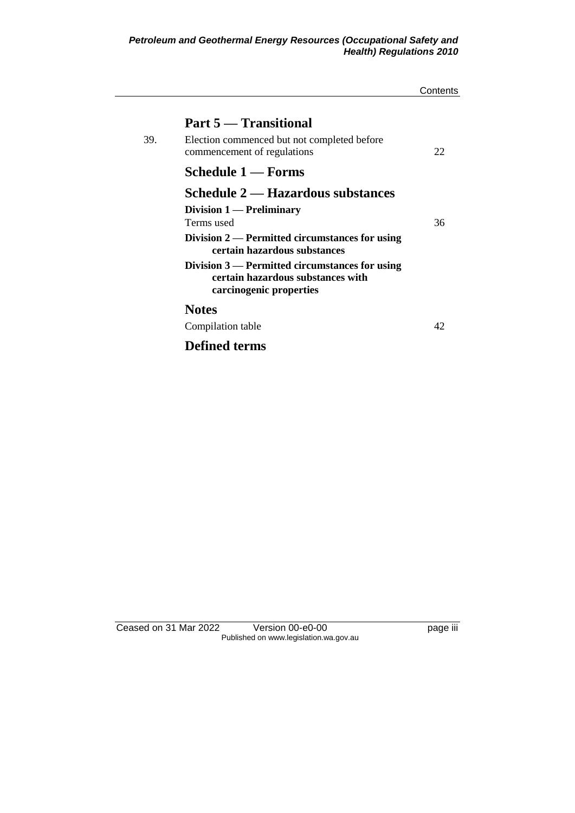|     |                                                                                                                                                                 | Contents |
|-----|-----------------------------------------------------------------------------------------------------------------------------------------------------------------|----------|
| 39. | Part 5 — Transitional<br>Election commenced but not completed before<br>commencement of regulations                                                             | 22.      |
|     | Schedule 1 — Forms                                                                                                                                              |          |
|     | Schedule 2 — Hazardous substances<br>Division $1$ — Preliminary<br>Terms used<br>Division 2 — Permitted circumstances for using<br>certain hazardous substances | 36       |
|     | Division 3 — Permitted circumstances for using<br>certain hazardous substances with<br>carcinogenic properties                                                  |          |
|     | <b>Notes</b>                                                                                                                                                    |          |
|     | Compilation table                                                                                                                                               | 42       |
|     | <b>Defined terms</b>                                                                                                                                            |          |

Ceased on 31 Mar 2022 Version 00-e0-00 page iii Published on www.legislation.wa.gov.au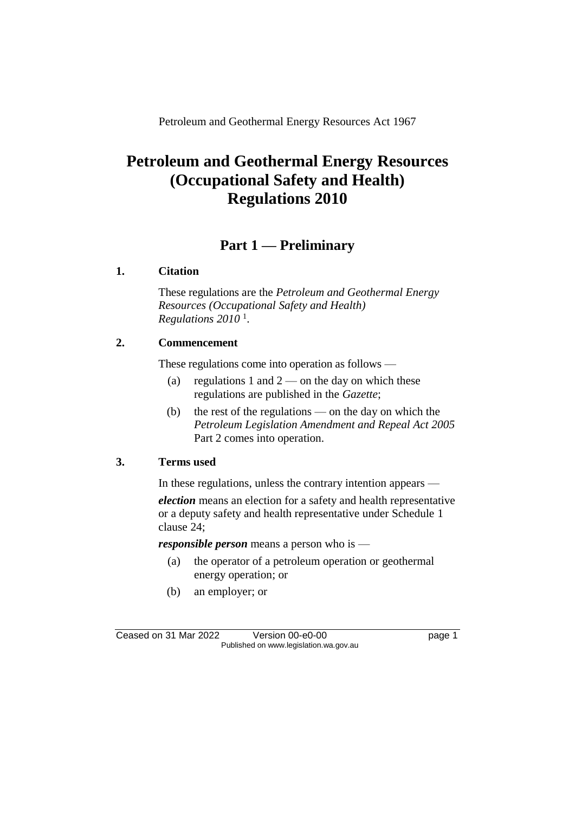Petroleum and Geothermal Energy Resources Act 1967

# **Petroleum and Geothermal Energy Resources (Occupational Safety and Health) Regulations 2010**

# **Part 1 — Preliminary**

## **1. Citation**

These regulations are the *Petroleum and Geothermal Energy Resources (Occupational Safety and Health) Regulations 2010* <sup>1</sup> .

## **2. Commencement**

These regulations come into operation as follows —

- (a) regulations 1 and  $2$  on the day on which these regulations are published in the *Gazette*;
- (b) the rest of the regulations on the day on which the *Petroleum Legislation Amendment and Repeal Act 2005* Part 2 comes into operation.

## **3. Terms used**

In these regulations, unless the contrary intention appears —

*election* means an election for a safety and health representative or a deputy safety and health representative under Schedule 1 clause 24;

*responsible person* means a person who is —

- (a) the operator of a petroleum operation or geothermal energy operation; or
- (b) an employer; or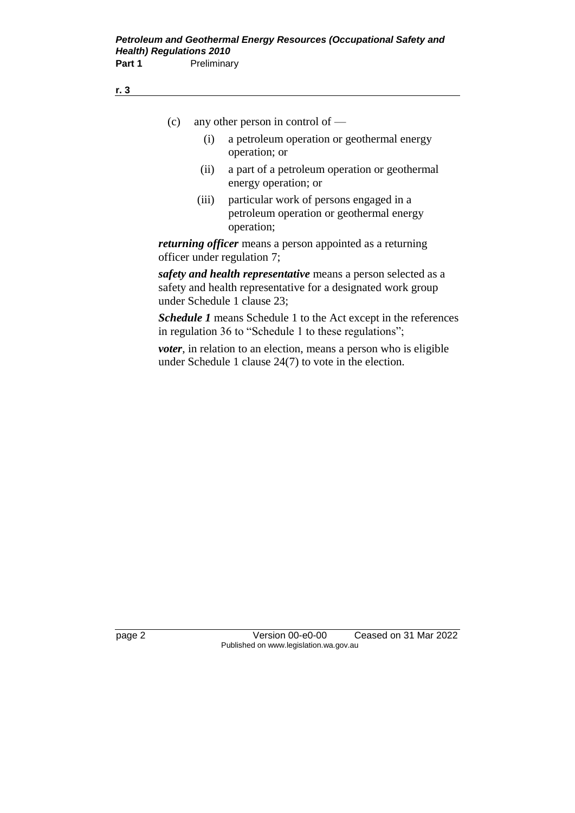- (c) any other person in control of
	- (i) a petroleum operation or geothermal energy operation; or
	- (ii) a part of a petroleum operation or geothermal energy operation; or
	- (iii) particular work of persons engaged in a petroleum operation or geothermal energy operation;

*returning officer* means a person appointed as a returning officer under regulation 7;

*safety and health representative* means a person selected as a safety and health representative for a designated work group under Schedule 1 clause 23;

*Schedule 1* means Schedule 1 to the Act except in the references in regulation 36 to "Schedule 1 to these regulations";

*voter*, in relation to an election, means a person who is eligible under Schedule 1 clause 24(7) to vote in the election.

page 2 Version 00-e0-00 Ceased on 31 Mar 2022 Published on www.legislation.wa.gov.au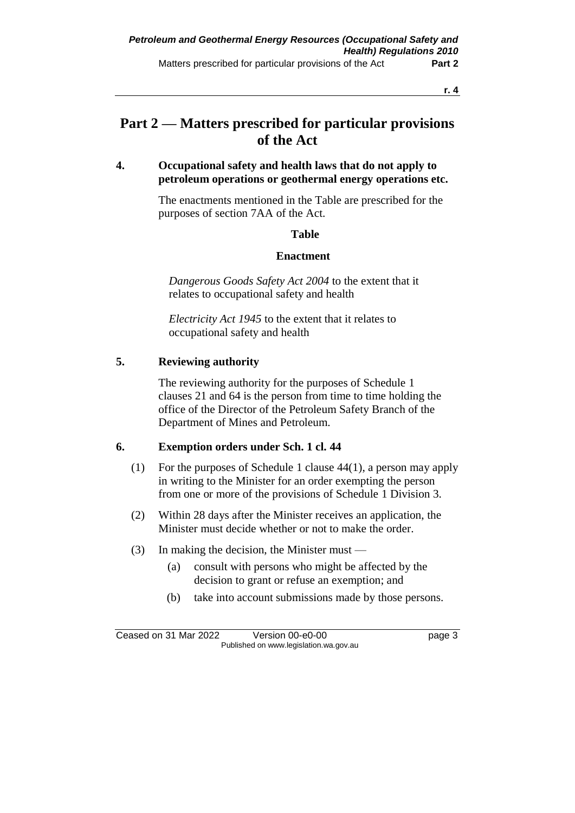# **Part 2 — Matters prescribed for particular provisions of the Act**

## **4. Occupational safety and health laws that do not apply to petroleum operations or geothermal energy operations etc.**

The enactments mentioned in the Table are prescribed for the purposes of section 7AA of the Act.

### **Table**

### **Enactment**

*Dangerous Goods Safety Act 2004* to the extent that it relates to occupational safety and health

*Electricity Act 1945* to the extent that it relates to occupational safety and health

## **5. Reviewing authority**

The reviewing authority for the purposes of Schedule 1 clauses 21 and 64 is the person from time to time holding the office of the Director of the Petroleum Safety Branch of the Department of Mines and Petroleum.

## **6. Exemption orders under Sch. 1 cl. 44**

- (1) For the purposes of Schedule 1 clause 44(1), a person may apply in writing to the Minister for an order exempting the person from one or more of the provisions of Schedule 1 Division 3.
- (2) Within 28 days after the Minister receives an application, the Minister must decide whether or not to make the order.
- (3) In making the decision, the Minister must
	- (a) consult with persons who might be affected by the decision to grant or refuse an exemption; and
	- (b) take into account submissions made by those persons.

Ceased on 31 Mar 2022 Version 00-e0-00 version 91 page 3 Published on www.legislation.wa.gov.au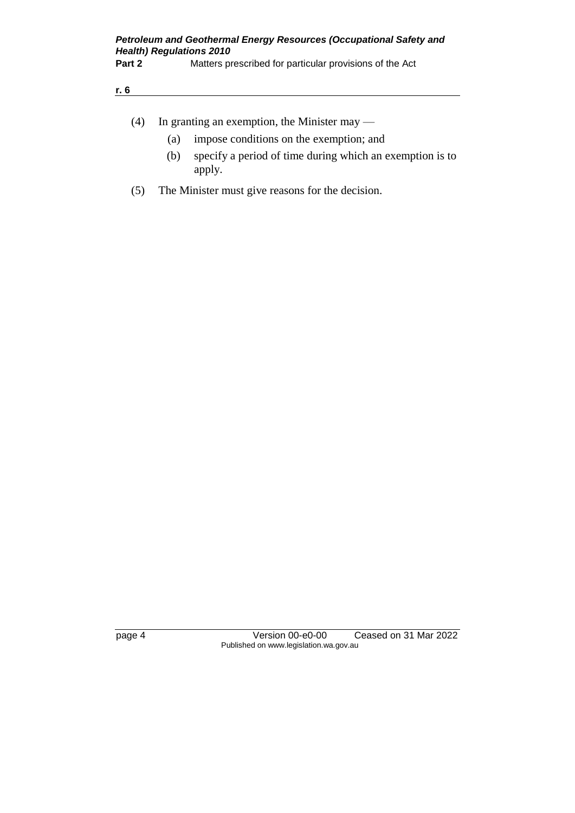| (4) | In granting an exemption, the Minister may $-$ |  |
|-----|------------------------------------------------|--|
|     |                                                |  |

- (a) impose conditions on the exemption; and
- (b) specify a period of time during which an exemption is to apply.
- (5) The Minister must give reasons for the decision.

page 4 Version 00-e0-00 Ceased on 31 Mar 2022 Published on www.legislation.wa.gov.au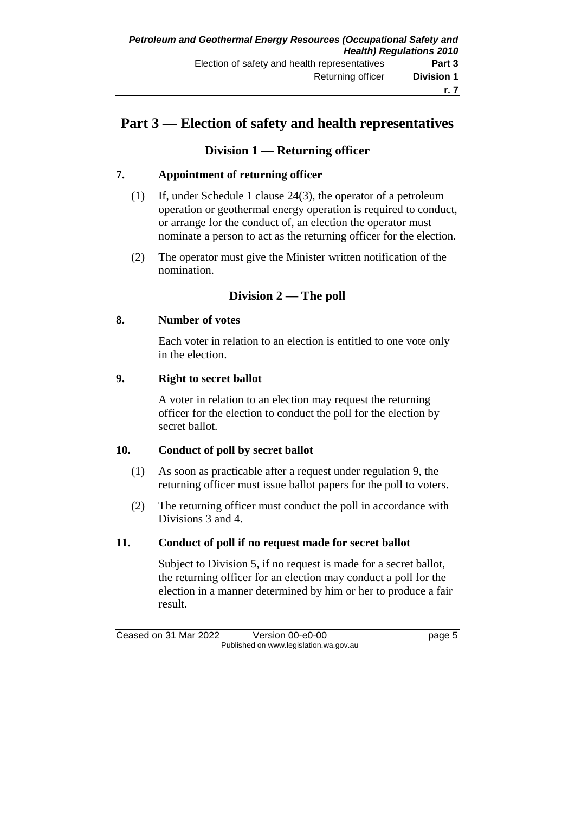# **Part 3 — Election of safety and health representatives**

# **Division 1 — Returning officer**

## **7. Appointment of returning officer**

- (1) If, under Schedule 1 clause 24(3), the operator of a petroleum operation or geothermal energy operation is required to conduct, or arrange for the conduct of, an election the operator must nominate a person to act as the returning officer for the election.
- (2) The operator must give the Minister written notification of the nomination.

# **Division 2 — The poll**

## **8. Number of votes**

Each voter in relation to an election is entitled to one vote only in the election.

### **9. Right to secret ballot**

A voter in relation to an election may request the returning officer for the election to conduct the poll for the election by secret ballot.

## **10. Conduct of poll by secret ballot**

- (1) As soon as practicable after a request under regulation 9, the returning officer must issue ballot papers for the poll to voters.
- (2) The returning officer must conduct the poll in accordance with Divisions 3 and 4.

### **11. Conduct of poll if no request made for secret ballot**

Subject to Division 5, if no request is made for a secret ballot, the returning officer for an election may conduct a poll for the election in a manner determined by him or her to produce a fair result.

Ceased on 31 Mar 2022 Version 00-e0-00 Page 5 Published on www.legislation.wa.gov.au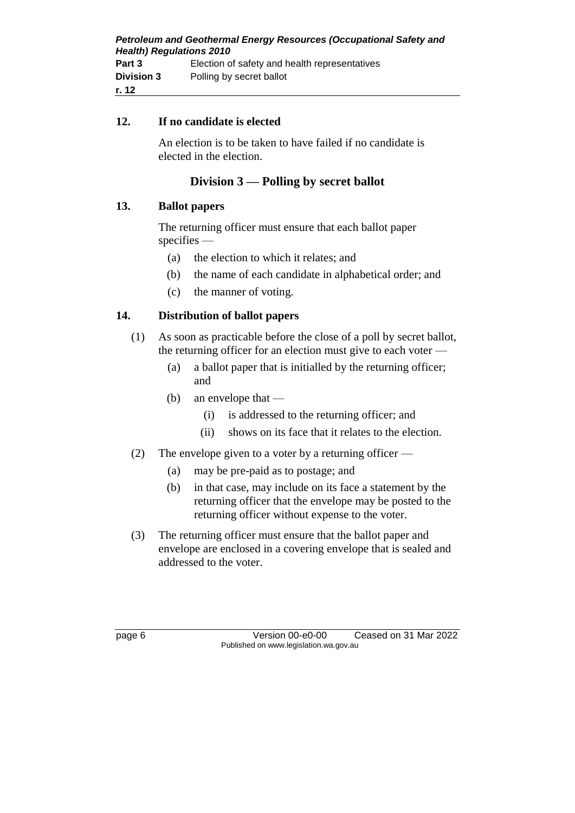| <b>Petroleum and Geothermal Energy Resources (Occupational Safety and</b> |                                               |  |  |  |
|---------------------------------------------------------------------------|-----------------------------------------------|--|--|--|
| <b>Health) Regulations 2010</b>                                           |                                               |  |  |  |
| Part 3                                                                    | Election of safety and health representatives |  |  |  |
| <b>Division 3</b>                                                         | Polling by secret ballot                      |  |  |  |
| r. 12                                                                     |                                               |  |  |  |

### **12. If no candidate is elected**

An election is to be taken to have failed if no candidate is elected in the election.

## **Division 3 — Polling by secret ballot**

### **13. Ballot papers**

The returning officer must ensure that each ballot paper specifies —

- (a) the election to which it relates; and
- (b) the name of each candidate in alphabetical order; and
- (c) the manner of voting.

### **14. Distribution of ballot papers**

- (1) As soon as practicable before the close of a poll by secret ballot, the returning officer for an election must give to each voter —
	- (a) a ballot paper that is initialled by the returning officer; and
	- (b) an envelope that
		- (i) is addressed to the returning officer; and
		- (ii) shows on its face that it relates to the election.
- (2) The envelope given to a voter by a returning officer
	- (a) may be pre-paid as to postage; and
	- (b) in that case, may include on its face a statement by the returning officer that the envelope may be posted to the returning officer without expense to the voter.
- (3) The returning officer must ensure that the ballot paper and envelope are enclosed in a covering envelope that is sealed and addressed to the voter.

page 6 Version 00-e0-00 Ceased on 31 Mar 2022 Published on www.legislation.wa.gov.au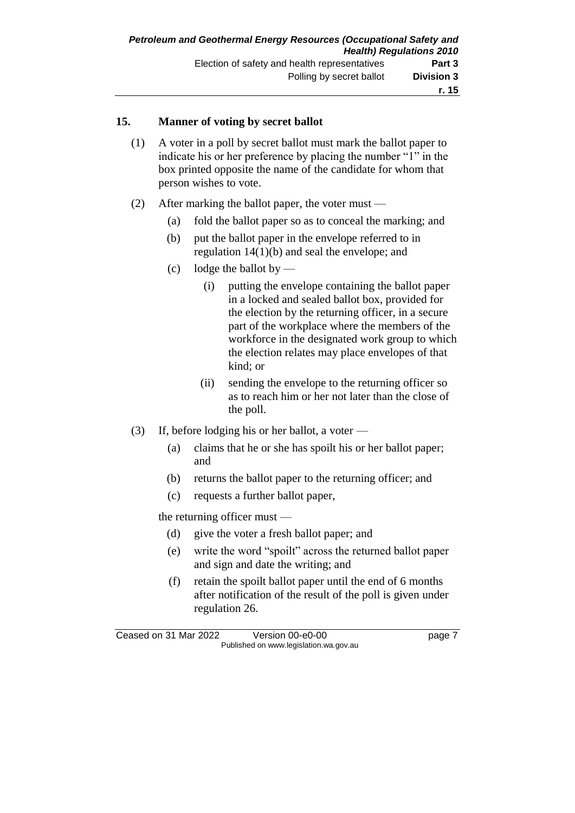## **15. Manner of voting by secret ballot**

- (1) A voter in a poll by secret ballot must mark the ballot paper to indicate his or her preference by placing the number "1" in the box printed opposite the name of the candidate for whom that person wishes to vote.
- (2) After marking the ballot paper, the voter must
	- (a) fold the ballot paper so as to conceal the marking; and
	- (b) put the ballot paper in the envelope referred to in regulation 14(1)(b) and seal the envelope; and
	- (c) lodge the ballot by  $-$ 
		- (i) putting the envelope containing the ballot paper in a locked and sealed ballot box, provided for the election by the returning officer, in a secure part of the workplace where the members of the workforce in the designated work group to which the election relates may place envelopes of that kind; or
		- (ii) sending the envelope to the returning officer so as to reach him or her not later than the close of the poll.
- (3) If, before lodging his or her ballot, a voter
	- (a) claims that he or she has spoilt his or her ballot paper; and
	- (b) returns the ballot paper to the returning officer; and
	- (c) requests a further ballot paper,

the returning officer must —

- (d) give the voter a fresh ballot paper; and
- (e) write the word "spoilt" across the returned ballot paper and sign and date the writing; and
- (f) retain the spoilt ballot paper until the end of 6 months after notification of the result of the poll is given under regulation 26.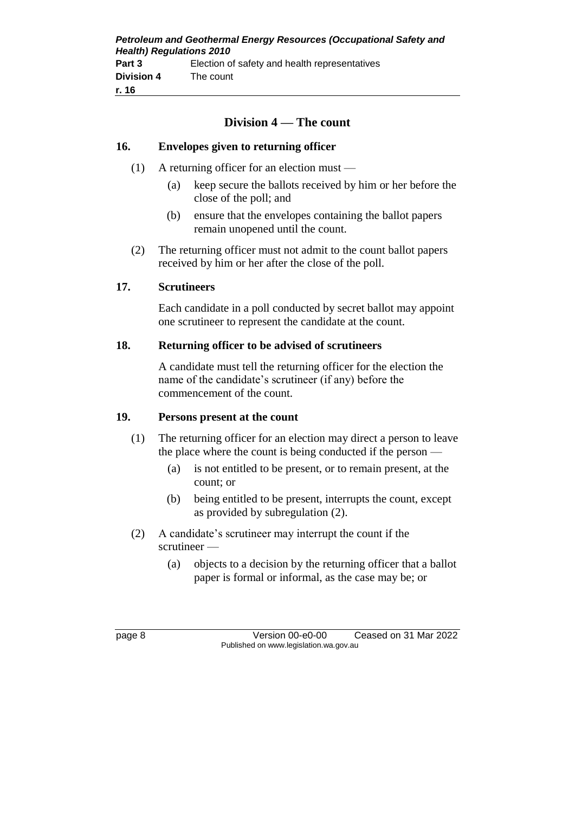| <b>Petroleum and Geothermal Energy Resources (Occupational Safety and</b> |                                               |  |  |  |
|---------------------------------------------------------------------------|-----------------------------------------------|--|--|--|
| <b>Health) Regulations 2010</b>                                           |                                               |  |  |  |
| Part 3                                                                    | Election of safety and health representatives |  |  |  |
| <b>Division 4</b>                                                         | The count                                     |  |  |  |
| r. 16                                                                     |                                               |  |  |  |

# **Division 4 — The count**

### **16. Envelopes given to returning officer**

- (1) A returning officer for an election must
	- (a) keep secure the ballots received by him or her before the close of the poll; and
	- (b) ensure that the envelopes containing the ballot papers remain unopened until the count.
- (2) The returning officer must not admit to the count ballot papers received by him or her after the close of the poll.

#### **17. Scrutineers**

Each candidate in a poll conducted by secret ballot may appoint one scrutineer to represent the candidate at the count.

#### **18. Returning officer to be advised of scrutineers**

A candidate must tell the returning officer for the election the name of the candidate's scrutineer (if any) before the commencement of the count.

#### **19. Persons present at the count**

- (1) The returning officer for an election may direct a person to leave the place where the count is being conducted if the person —
	- (a) is not entitled to be present, or to remain present, at the count; or
	- (b) being entitled to be present, interrupts the count, except as provided by subregulation (2).
- (2) A candidate's scrutineer may interrupt the count if the scrutineer —
	- (a) objects to a decision by the returning officer that a ballot paper is formal or informal, as the case may be; or

page 8 Version 00-e0-00 Ceased on 31 Mar 2022 Published on www.legislation.wa.gov.au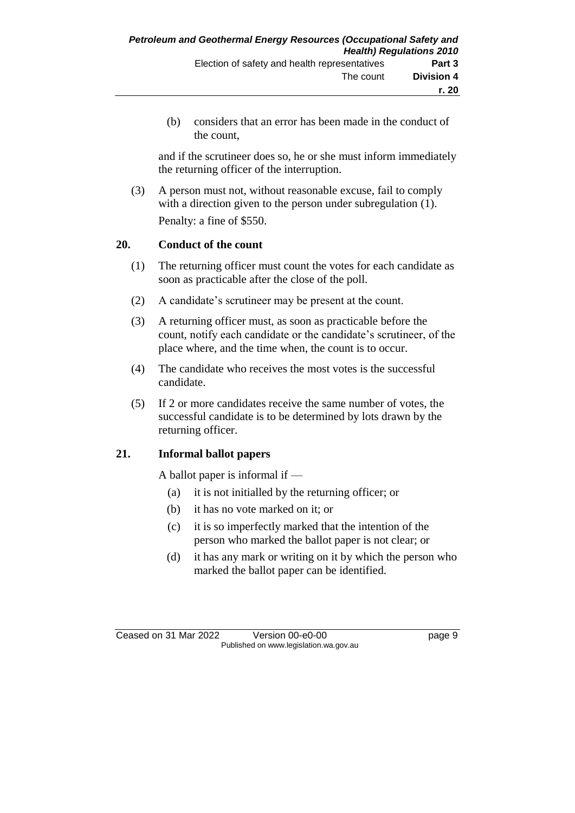(b) considers that an error has been made in the conduct of the count,

and if the scrutineer does so, he or she must inform immediately the returning officer of the interruption.

(3) A person must not, without reasonable excuse, fail to comply with a direction given to the person under subregulation (1). Penalty: a fine of \$550.

## **20. Conduct of the count**

- (1) The returning officer must count the votes for each candidate as soon as practicable after the close of the poll.
- (2) A candidate's scrutineer may be present at the count.
- (3) A returning officer must, as soon as practicable before the count, notify each candidate or the candidate's scrutineer, of the place where, and the time when, the count is to occur.
- (4) The candidate who receives the most votes is the successful candidate.
- (5) If 2 or more candidates receive the same number of votes, the successful candidate is to be determined by lots drawn by the returning officer.

# **21. Informal ballot papers**

A ballot paper is informal if —

- (a) it is not initialled by the returning officer; or
- (b) it has no vote marked on it; or
- (c) it is so imperfectly marked that the intention of the person who marked the ballot paper is not clear; or
- (d) it has any mark or writing on it by which the person who marked the ballot paper can be identified.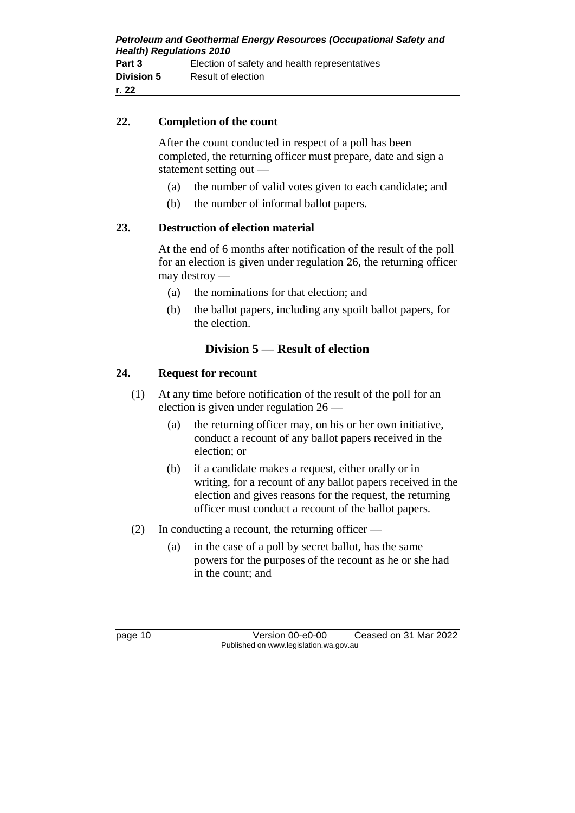## **22. Completion of the count**

After the count conducted in respect of a poll has been completed, the returning officer must prepare, date and sign a statement setting out —

- (a) the number of valid votes given to each candidate; and
- (b) the number of informal ballot papers.

## **23. Destruction of election material**

At the end of 6 months after notification of the result of the poll for an election is given under regulation 26, the returning officer may destroy —

- (a) the nominations for that election; and
- (b) the ballot papers, including any spoilt ballot papers, for the election.

# **Division 5 — Result of election**

## **24. Request for recount**

- (1) At any time before notification of the result of the poll for an election is given under regulation 26 —
	- (a) the returning officer may, on his or her own initiative, conduct a recount of any ballot papers received in the election; or
	- (b) if a candidate makes a request, either orally or in writing, for a recount of any ballot papers received in the election and gives reasons for the request, the returning officer must conduct a recount of the ballot papers.
- (2) In conducting a recount, the returning officer
	- (a) in the case of a poll by secret ballot, has the same powers for the purposes of the recount as he or she had in the count; and

page 10 Version 00-e0-00 Ceased on 31 Mar 2022 Published on www.legislation.wa.gov.au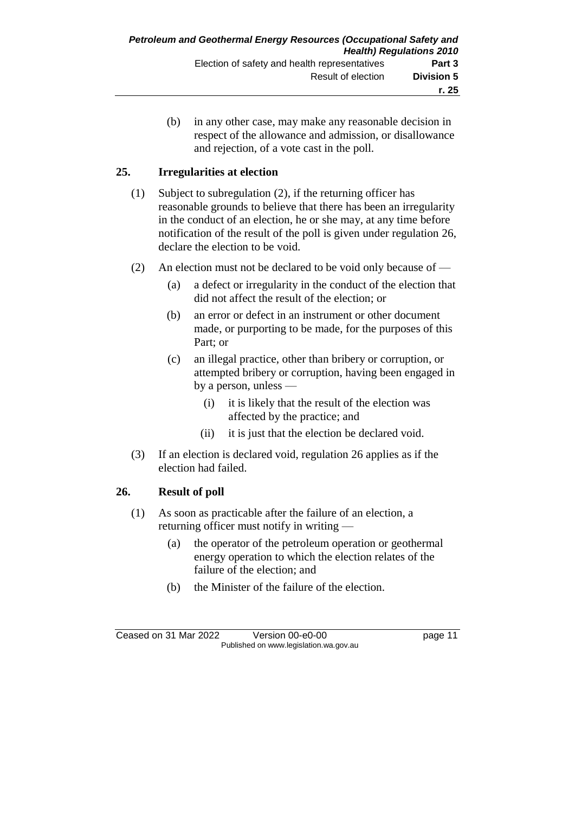(b) in any other case, may make any reasonable decision in respect of the allowance and admission, or disallowance and rejection, of a vote cast in the poll.

## **25. Irregularities at election**

- (1) Subject to subregulation (2), if the returning officer has reasonable grounds to believe that there has been an irregularity in the conduct of an election, he or she may, at any time before notification of the result of the poll is given under regulation 26, declare the election to be void.
- (2) An election must not be declared to be void only because of
	- (a) a defect or irregularity in the conduct of the election that did not affect the result of the election; or
	- (b) an error or defect in an instrument or other document made, or purporting to be made, for the purposes of this Part; or
	- (c) an illegal practice, other than bribery or corruption, or attempted bribery or corruption, having been engaged in by a person, unless —
		- (i) it is likely that the result of the election was affected by the practice; and
		- (ii) it is just that the election be declared void.
- (3) If an election is declared void, regulation 26 applies as if the election had failed.

# **26. Result of poll**

- (1) As soon as practicable after the failure of an election, a returning officer must notify in writing —
	- (a) the operator of the petroleum operation or geothermal energy operation to which the election relates of the failure of the election; and
	- (b) the Minister of the failure of the election.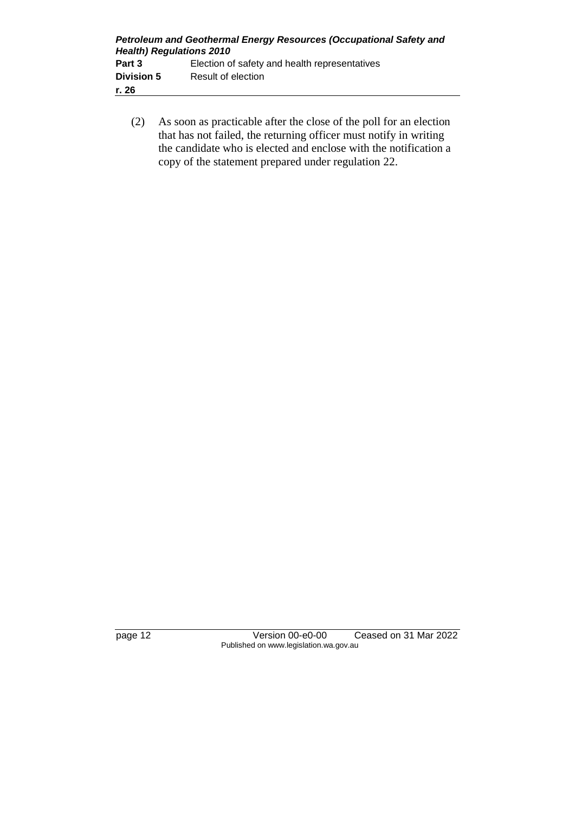| <b>Petroleum and Geothermal Energy Resources (Occupational Safety and</b><br><b>Health) Regulations 2010</b> |                                               |  |  |
|--------------------------------------------------------------------------------------------------------------|-----------------------------------------------|--|--|
| Part 3                                                                                                       | Election of safety and health representatives |  |  |
| <b>Division 5</b>                                                                                            | Result of election                            |  |  |
| r. 26                                                                                                        |                                               |  |  |

(2) As soon as practicable after the close of the poll for an election that has not failed, the returning officer must notify in writing the candidate who is elected and enclose with the notification a copy of the statement prepared under regulation 22.

page 12 Version 00-e0-00 Ceased on 31 Mar 2022 Published on www.legislation.wa.gov.au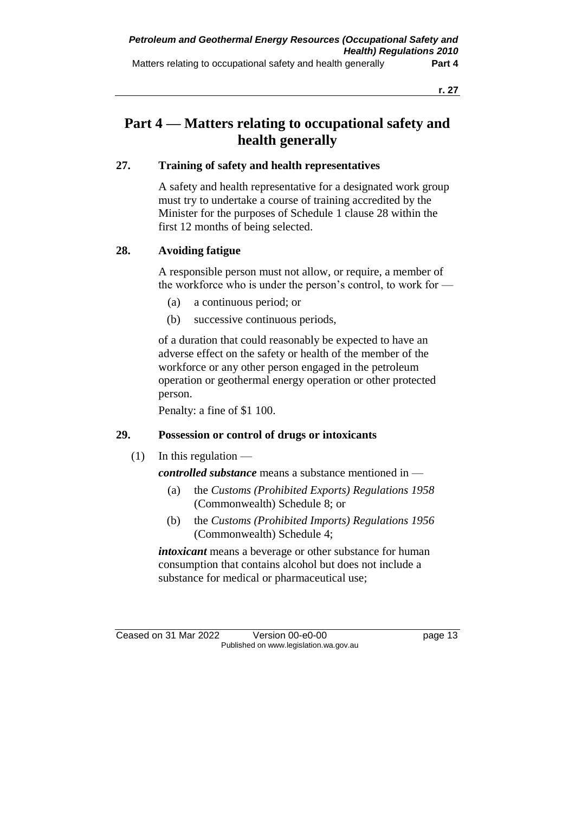# **Part 4 — Matters relating to occupational safety and health generally**

## **27. Training of safety and health representatives**

A safety and health representative for a designated work group must try to undertake a course of training accredited by the Minister for the purposes of Schedule 1 clause 28 within the first 12 months of being selected.

## **28. Avoiding fatigue**

A responsible person must not allow, or require, a member of the workforce who is under the person's control, to work for —

- (a) a continuous period; or
- (b) successive continuous periods,

of a duration that could reasonably be expected to have an adverse effect on the safety or health of the member of the workforce or any other person engaged in the petroleum operation or geothermal energy operation or other protected person.

Penalty: a fine of \$1 100.

# **29. Possession or control of drugs or intoxicants**

 $(1)$  In this regulation —

## *controlled substance* means a substance mentioned in —

- (a) the *Customs (Prohibited Exports) Regulations 1958* (Commonwealth) Schedule 8; or
- (b) the *Customs (Prohibited Imports) Regulations 1956* (Commonwealth) Schedule 4;

*intoxicant* means a beverage or other substance for human consumption that contains alcohol but does not include a substance for medical or pharmaceutical use;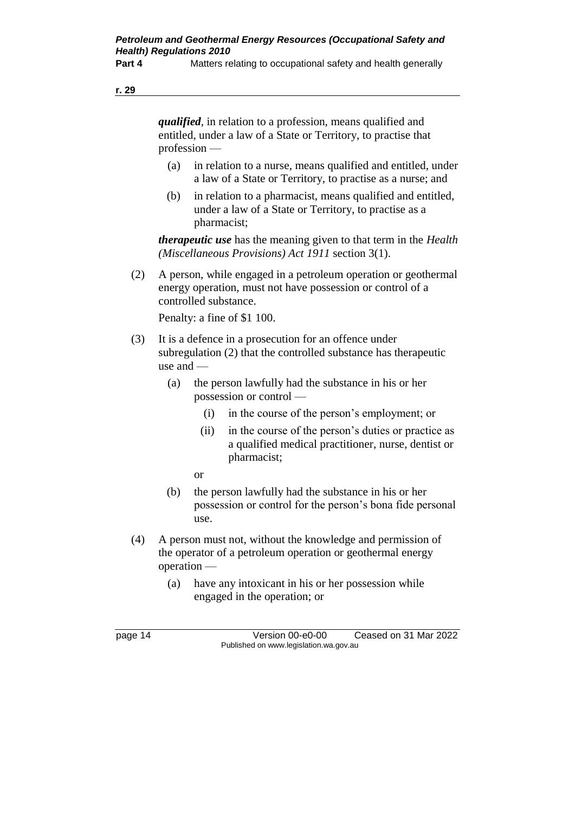**Part 4** Matters relating to occupational safety and health generally

**r. 29**

*qualified*, in relation to a profession, means qualified and entitled, under a law of a State or Territory, to practise that profession —

- (a) in relation to a nurse, means qualified and entitled, under a law of a State or Territory, to practise as a nurse; and
- (b) in relation to a pharmacist, means qualified and entitled, under a law of a State or Territory, to practise as a pharmacist;

*therapeutic use* has the meaning given to that term in the *Health (Miscellaneous Provisions) Act 1911* section 3(1).

(2) A person, while engaged in a petroleum operation or geothermal energy operation, must not have possession or control of a controlled substance.

Penalty: a fine of \$1 100.

- (3) It is a defence in a prosecution for an offence under subregulation (2) that the controlled substance has therapeutic use and —
	- (a) the person lawfully had the substance in his or her possession or control —
		- (i) in the course of the person's employment; or
		- (ii) in the course of the person's duties or practice as a qualified medical practitioner, nurse, dentist or pharmacist;
		- or
	- (b) the person lawfully had the substance in his or her possession or control for the person's bona fide personal use.
- (4) A person must not, without the knowledge and permission of the operator of a petroleum operation or geothermal energy operation —
	- (a) have any intoxicant in his or her possession while engaged in the operation; or

page 14 Version 00-e0-00 Ceased on 31 Mar 2022 Published on www.legislation.wa.gov.au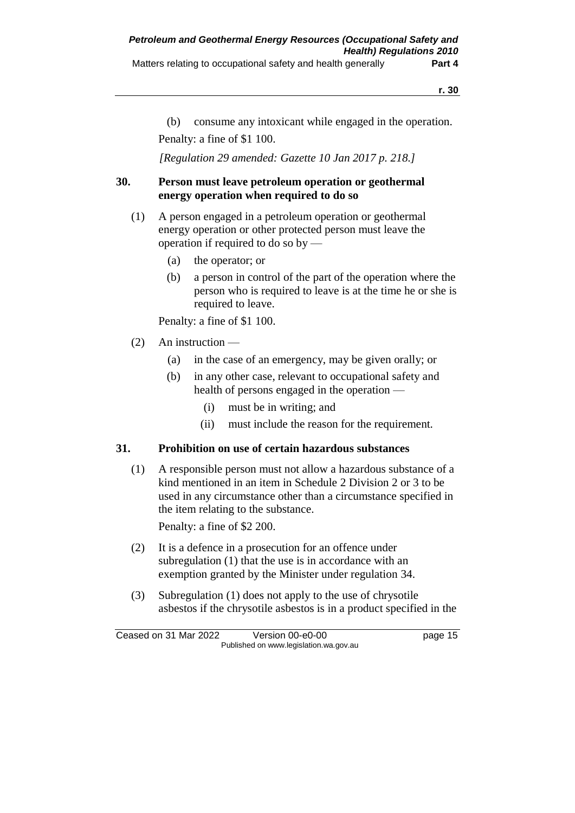(b) consume any intoxicant while engaged in the operation. Penalty: a fine of \$1 100.

*[Regulation 29 amended: Gazette 10 Jan 2017 p. 218.]*

## **30. Person must leave petroleum operation or geothermal energy operation when required to do so**

- (1) A person engaged in a petroleum operation or geothermal energy operation or other protected person must leave the operation if required to do so by —
	- (a) the operator; or
	- (b) a person in control of the part of the operation where the person who is required to leave is at the time he or she is required to leave.

Penalty: a fine of \$1 100.

- (2) An instruction
	- (a) in the case of an emergency, may be given orally; or
	- (b) in any other case, relevant to occupational safety and health of persons engaged in the operation —
		- (i) must be in writing; and
		- (ii) must include the reason for the requirement.

## **31. Prohibition on use of certain hazardous substances**

(1) A responsible person must not allow a hazardous substance of a kind mentioned in an item in Schedule 2 Division 2 or 3 to be used in any circumstance other than a circumstance specified in the item relating to the substance.

Penalty: a fine of \$2 200.

- (2) It is a defence in a prosecution for an offence under subregulation (1) that the use is in accordance with an exemption granted by the Minister under regulation 34.
- (3) Subregulation (1) does not apply to the use of chrysotile asbestos if the chrysotile asbestos is in a product specified in the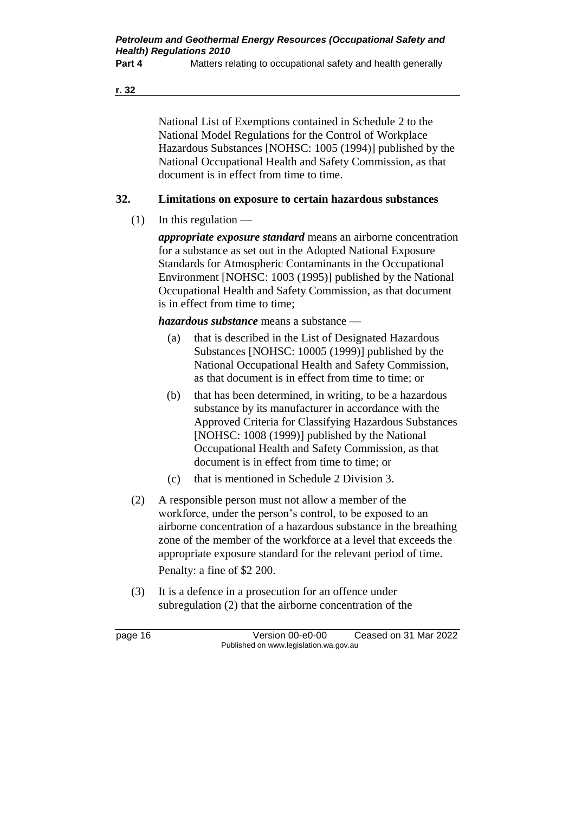**Part 4** Matters relating to occupational safety and health generally

**r. 32**

National List of Exemptions contained in Schedule 2 to the National Model Regulations for the Control of Workplace Hazardous Substances [NOHSC: 1005 (1994)] published by the National Occupational Health and Safety Commission, as that document is in effect from time to time.

# **32. Limitations on exposure to certain hazardous substances**

 $(1)$  In this regulation —

*appropriate exposure standard* means an airborne concentration for a substance as set out in the Adopted National Exposure Standards for Atmospheric Contaminants in the Occupational Environment [NOHSC: 1003 (1995)] published by the National Occupational Health and Safety Commission, as that document is in effect from time to time;

*hazardous substance* means a substance —

- (a) that is described in the List of Designated Hazardous Substances [NOHSC: 10005 (1999)] published by the National Occupational Health and Safety Commission, as that document is in effect from time to time; or
- (b) that has been determined, in writing, to be a hazardous substance by its manufacturer in accordance with the Approved Criteria for Classifying Hazardous Substances [NOHSC: 1008 (1999)] published by the National Occupational Health and Safety Commission, as that document is in effect from time to time; or
- (c) that is mentioned in Schedule 2 Division 3.
- (2) A responsible person must not allow a member of the workforce, under the person's control, to be exposed to an airborne concentration of a hazardous substance in the breathing zone of the member of the workforce at a level that exceeds the appropriate exposure standard for the relevant period of time. Penalty: a fine of \$2 200.
- (3) It is a defence in a prosecution for an offence under subregulation (2) that the airborne concentration of the

page 16 Version 00-e0-00 Ceased on 31 Mar 2022 Published on www.legislation.wa.gov.au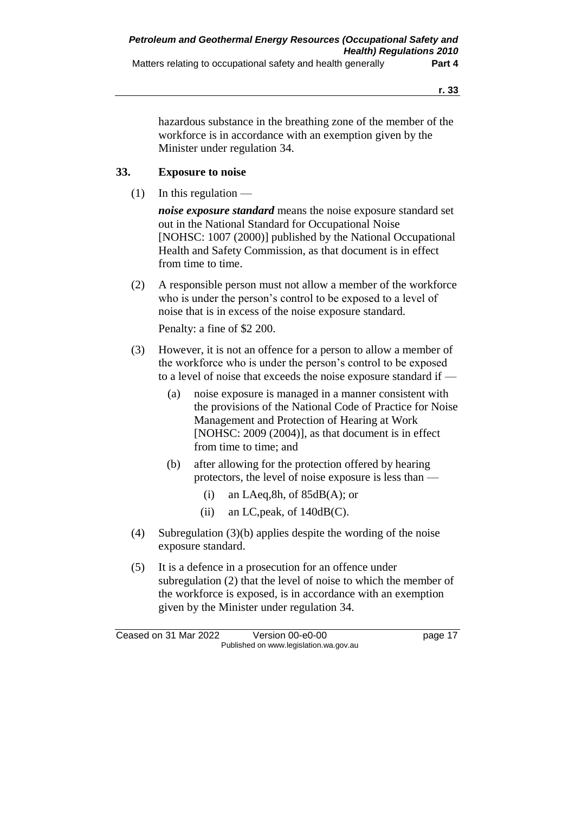hazardous substance in the breathing zone of the member of the workforce is in accordance with an exemption given by the Minister under regulation 34.

## **33. Exposure to noise**

 $(1)$  In this regulation —

*noise exposure standard* means the noise exposure standard set out in the National Standard for Occupational Noise [NOHSC: 1007 (2000)] published by the National Occupational Health and Safety Commission, as that document is in effect from time to time.

(2) A responsible person must not allow a member of the workforce who is under the person's control to be exposed to a level of noise that is in excess of the noise exposure standard.

Penalty: a fine of \$2 200.

- (3) However, it is not an offence for a person to allow a member of the workforce who is under the person's control to be exposed to a level of noise that exceeds the noise exposure standard if —
	- (a) noise exposure is managed in a manner consistent with the provisions of the National Code of Practice for Noise Management and Protection of Hearing at Work [NOHSC: 2009 (2004)], as that document is in effect from time to time; and
	- (b) after allowing for the protection offered by hearing protectors, the level of noise exposure is less than —
		- (i) an LAeq,8h, of  $85dB(A)$ ; or
		- (ii) an LC, peak, of  $140dB(C)$ .
- (4) Subregulation (3)(b) applies despite the wording of the noise exposure standard.
- (5) It is a defence in a prosecution for an offence under subregulation (2) that the level of noise to which the member of the workforce is exposed, is in accordance with an exemption given by the Minister under regulation 34.

Ceased on 31 Mar 2022 Version 00-e0-00 page 17 Published on www.legislation.wa.gov.au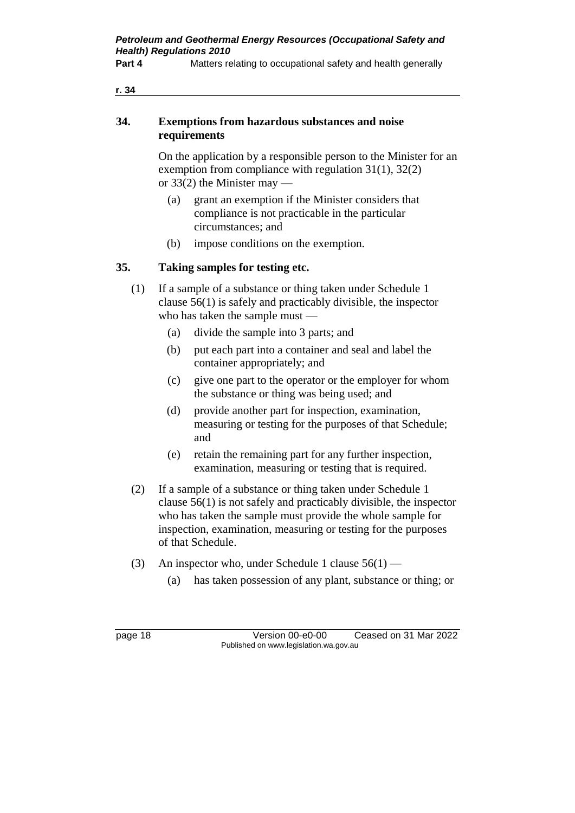**Part 4** Matters relating to occupational safety and health generally

### **34. Exemptions from hazardous substances and noise requirements**

On the application by a responsible person to the Minister for an exemption from compliance with regulation 31(1), 32(2) or  $33(2)$  the Minister may  $-$ 

- (a) grant an exemption if the Minister considers that compliance is not practicable in the particular circumstances; and
- (b) impose conditions on the exemption.

## **35. Taking samples for testing etc.**

- (1) If a sample of a substance or thing taken under Schedule 1 clause 56(1) is safely and practicably divisible, the inspector who has taken the sample must —
	- (a) divide the sample into 3 parts; and
	- (b) put each part into a container and seal and label the container appropriately; and
	- (c) give one part to the operator or the employer for whom the substance or thing was being used; and
	- (d) provide another part for inspection, examination, measuring or testing for the purposes of that Schedule; and
	- (e) retain the remaining part for any further inspection, examination, measuring or testing that is required.
- (2) If a sample of a substance or thing taken under Schedule 1 clause 56(1) is not safely and practicably divisible, the inspector who has taken the sample must provide the whole sample for inspection, examination, measuring or testing for the purposes of that Schedule.
- (3) An inspector who, under Schedule 1 clause  $56(1)$ 
	- (a) has taken possession of any plant, substance or thing; or

page 18 Version 00-e0-00 Ceased on 31 Mar 2022 Published on www.legislation.wa.gov.au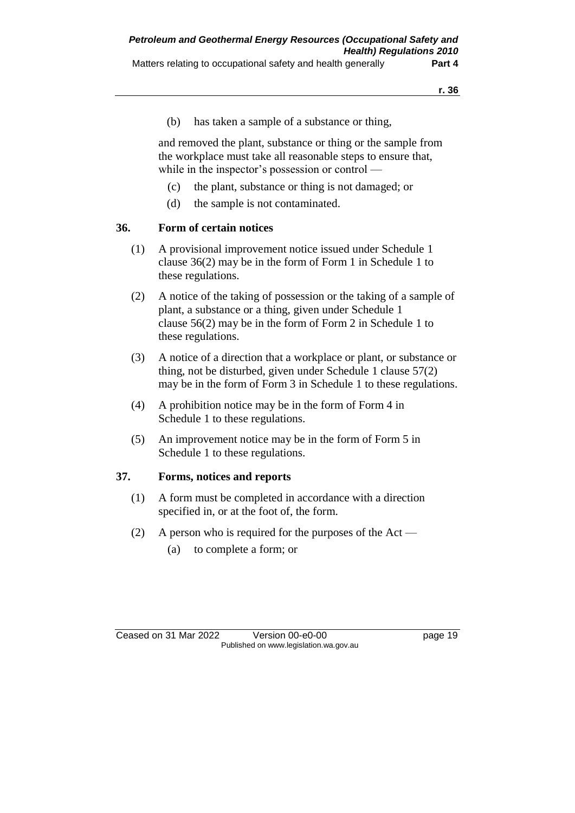(b) has taken a sample of a substance or thing,

and removed the plant, substance or thing or the sample from the workplace must take all reasonable steps to ensure that, while in the inspector's possession or control —

- (c) the plant, substance or thing is not damaged; or
- (d) the sample is not contaminated.

## **36. Form of certain notices**

- (1) A provisional improvement notice issued under Schedule 1 clause 36(2) may be in the form of Form 1 in Schedule 1 to these regulations.
- (2) A notice of the taking of possession or the taking of a sample of plant, a substance or a thing, given under Schedule 1 clause 56(2) may be in the form of Form 2 in Schedule 1 to these regulations.
- (3) A notice of a direction that a workplace or plant, or substance or thing, not be disturbed, given under Schedule 1 clause 57(2) may be in the form of Form 3 in Schedule 1 to these regulations.
- (4) A prohibition notice may be in the form of Form 4 in Schedule 1 to these regulations.
- (5) An improvement notice may be in the form of Form 5 in Schedule 1 to these regulations.

### **37. Forms, notices and reports**

- (1) A form must be completed in accordance with a direction specified in, or at the foot of, the form.
- (2) A person who is required for the purposes of the Act
	- (a) to complete a form; or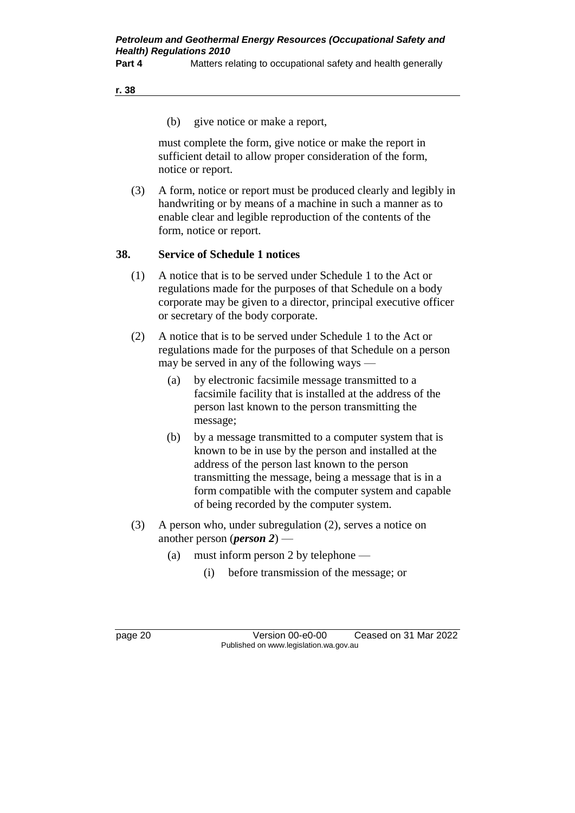**Part 4** Matters relating to occupational safety and health generally

#### **r. 38**

(b) give notice or make a report,

must complete the form, give notice or make the report in sufficient detail to allow proper consideration of the form, notice or report.

(3) A form, notice or report must be produced clearly and legibly in handwriting or by means of a machine in such a manner as to enable clear and legible reproduction of the contents of the form, notice or report.

### **38. Service of Schedule 1 notices**

- (1) A notice that is to be served under Schedule 1 to the Act or regulations made for the purposes of that Schedule on a body corporate may be given to a director, principal executive officer or secretary of the body corporate.
- (2) A notice that is to be served under Schedule 1 to the Act or regulations made for the purposes of that Schedule on a person may be served in any of the following ways —
	- (a) by electronic facsimile message transmitted to a facsimile facility that is installed at the address of the person last known to the person transmitting the message;
	- (b) by a message transmitted to a computer system that is known to be in use by the person and installed at the address of the person last known to the person transmitting the message, being a message that is in a form compatible with the computer system and capable of being recorded by the computer system.
- (3) A person who, under subregulation (2), serves a notice on another person (*person 2*) —
	- (a) must inform person 2 by telephone
		- (i) before transmission of the message; or

page 20 Version 00-e0-00 Ceased on 31 Mar 2022 Published on www.legislation.wa.gov.au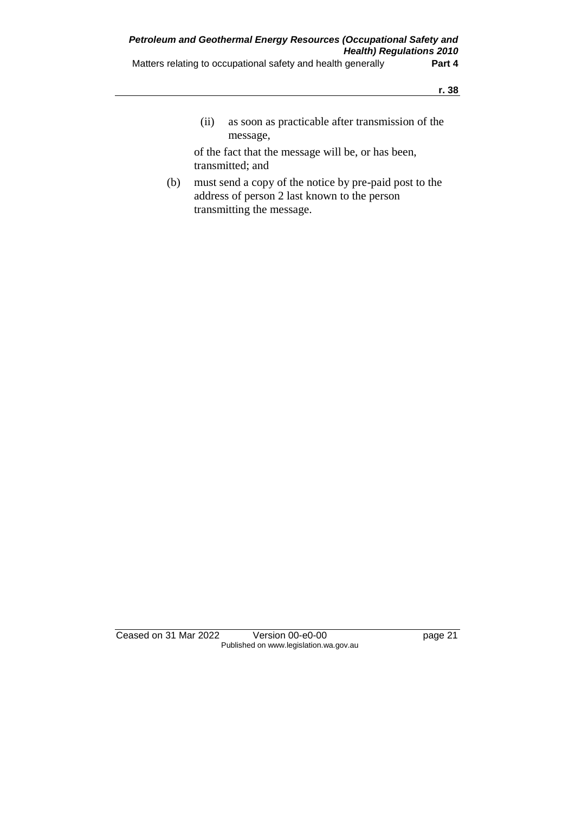(ii) as soon as practicable after transmission of the message,

of the fact that the message will be, or has been, transmitted; and

(b) must send a copy of the notice by pre-paid post to the address of person 2 last known to the person transmitting the message.

Ceased on 31 Mar 2022 Version 00-e0-00 page 21 Published on www.legislation.wa.gov.au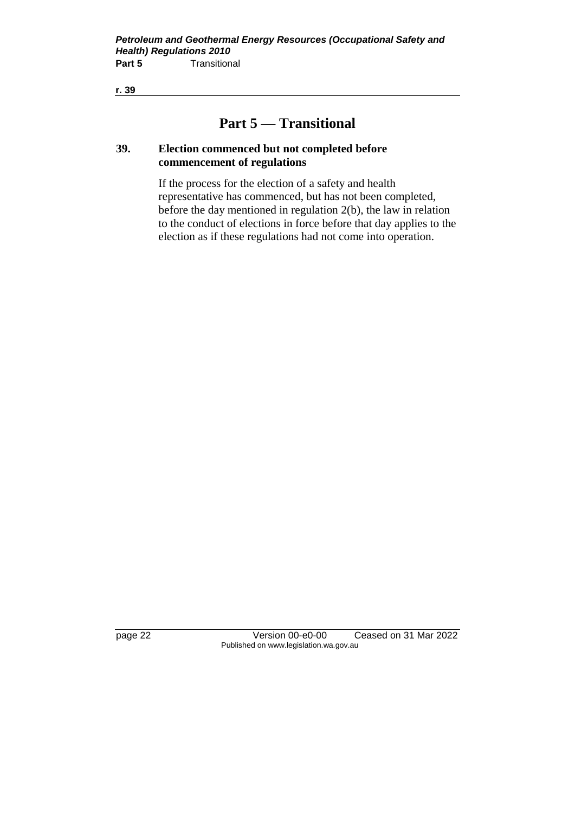# **Part 5 — Transitional**

### **39. Election commenced but not completed before commencement of regulations**

If the process for the election of a safety and health representative has commenced, but has not been completed, before the day mentioned in regulation 2(b), the law in relation to the conduct of elections in force before that day applies to the election as if these regulations had not come into operation.

page 22 Version 00-e0-00 Ceased on 31 Mar 2022 Published on www.legislation.wa.gov.au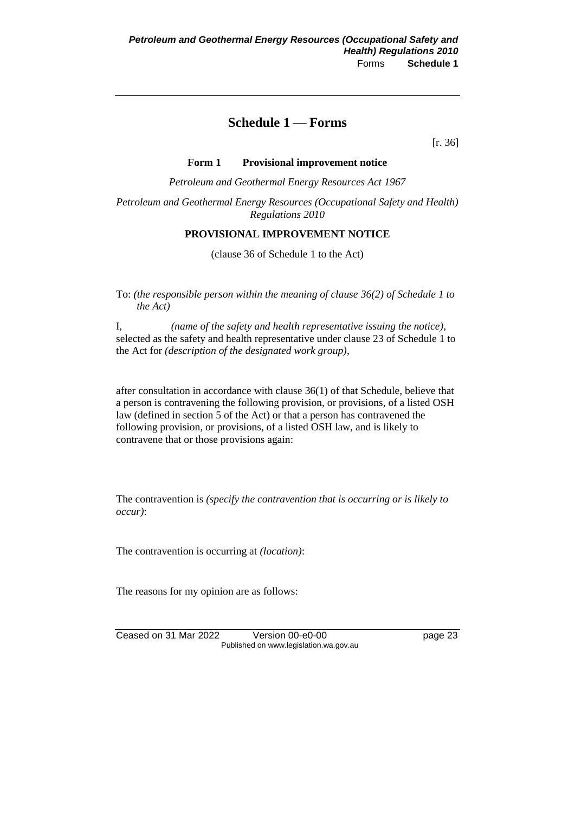# **Schedule 1 — Forms**

[r. 36]

#### **Form 1 Provisional improvement notice**

*Petroleum and Geothermal Energy Resources Act 1967*

*Petroleum and Geothermal Energy Resources (Occupational Safety and Health) Regulations 2010*

#### **PROVISIONAL IMPROVEMENT NOTICE**

(clause 36 of Schedule 1 to the Act)

To: *(the responsible person within the meaning of clause 36(2) of Schedule 1 to the Act)*

I, *(name of the safety and health representative issuing the notice)*, selected as the safety and health representative under clause 23 of Schedule 1 to the Act for *(description of the designated work group)*,

after consultation in accordance with clause 36(1) of that Schedule, believe that a person is contravening the following provision, or provisions, of a listed OSH law (defined in section 5 of the Act) or that a person has contravened the following provision, or provisions, of a listed OSH law, and is likely to contravene that or those provisions again:

The contravention is *(specify the contravention that is occurring or is likely to occur)*:

The contravention is occurring at *(location)*:

The reasons for my opinion are as follows:

Ceased on 31 Mar 2022 Version 00-e0-00 page 23 Published on www.legislation.wa.gov.au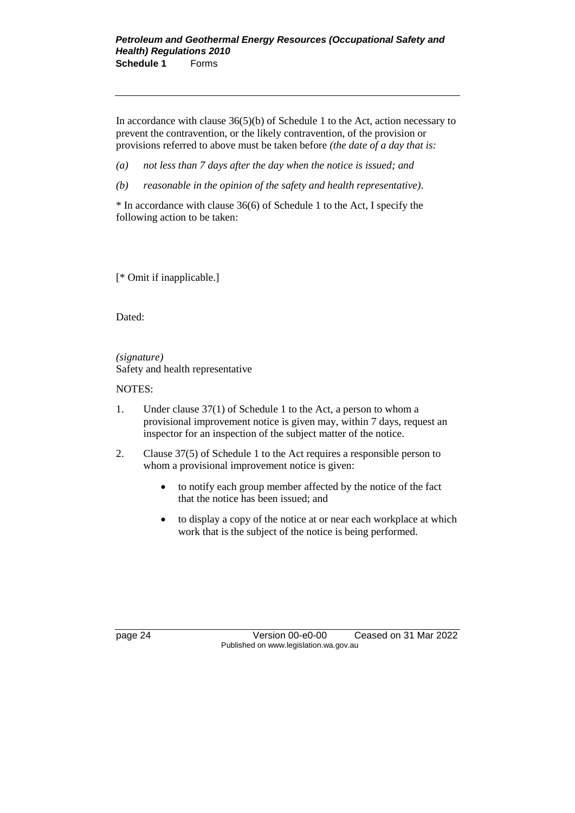#### *Petroleum and Geothermal Energy Resources (Occupational Safety and Health) Regulations 2010* **Schedule 1** Forms

In accordance with clause  $36(5)(b)$  of Schedule 1 to the Act, action necessary to prevent the contravention, or the likely contravention, of the provision or provisions referred to above must be taken before *(the date of a day that is:* 

*(a) not less than 7 days after the day when the notice is issued; and* 

*(b) reasonable in the opinion of the safety and health representative)*.

\* In accordance with clause 36(6) of Schedule 1 to the Act, I specify the following action to be taken:

[\* Omit if inapplicable.]

Dated:

*(signature)* Safety and health representative

NOTES:

- 1. Under clause 37(1) of Schedule 1 to the Act, a person to whom a provisional improvement notice is given may, within 7 days, request an inspector for an inspection of the subject matter of the notice.
- 2. Clause 37(5) of Schedule 1 to the Act requires a responsible person to whom a provisional improvement notice is given:
	- to notify each group member affected by the notice of the fact that the notice has been issued; and
	- to display a copy of the notice at or near each workplace at which work that is the subject of the notice is being performed.

page 24 Version 00-e0-00 Ceased on 31 Mar 2022 Published on www.legislation.wa.gov.au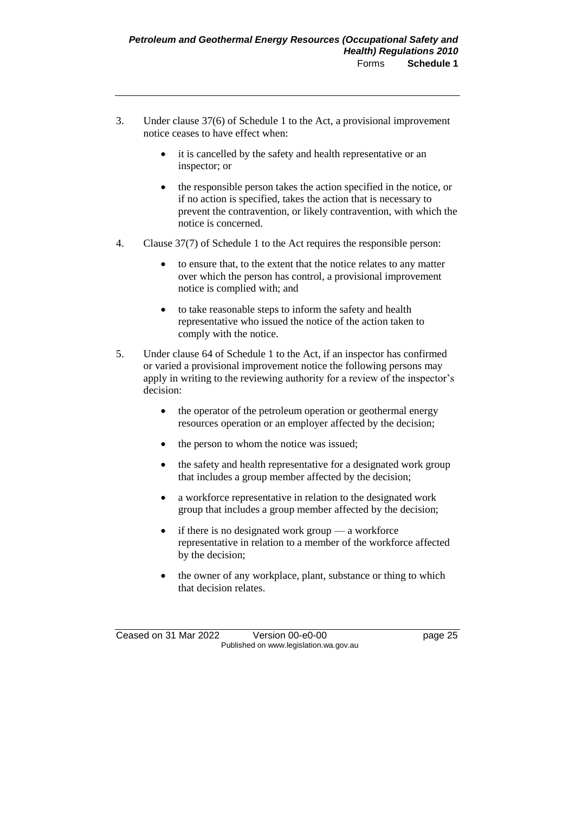- 3. Under clause 37(6) of Schedule 1 to the Act, a provisional improvement notice ceases to have effect when:
	- it is cancelled by the safety and health representative or an inspector; or
	- the responsible person takes the action specified in the notice, or if no action is specified, takes the action that is necessary to prevent the contravention, or likely contravention, with which the notice is concerned.
- 4. Clause 37(7) of Schedule 1 to the Act requires the responsible person:
	- to ensure that, to the extent that the notice relates to any matter over which the person has control, a provisional improvement notice is complied with; and
	- to take reasonable steps to inform the safety and health representative who issued the notice of the action taken to comply with the notice.
- 5. Under clause 64 of Schedule 1 to the Act, if an inspector has confirmed or varied a provisional improvement notice the following persons may apply in writing to the reviewing authority for a review of the inspector's decision:
	- the operator of the petroleum operation or geothermal energy resources operation or an employer affected by the decision;
	- the person to whom the notice was issued;
	- the safety and health representative for a designated work group that includes a group member affected by the decision;
	- a workforce representative in relation to the designated work group that includes a group member affected by the decision;
	- if there is no designated work group  $-$  a workforce representative in relation to a member of the workforce affected by the decision;
	- the owner of any workplace, plant, substance or thing to which that decision relates.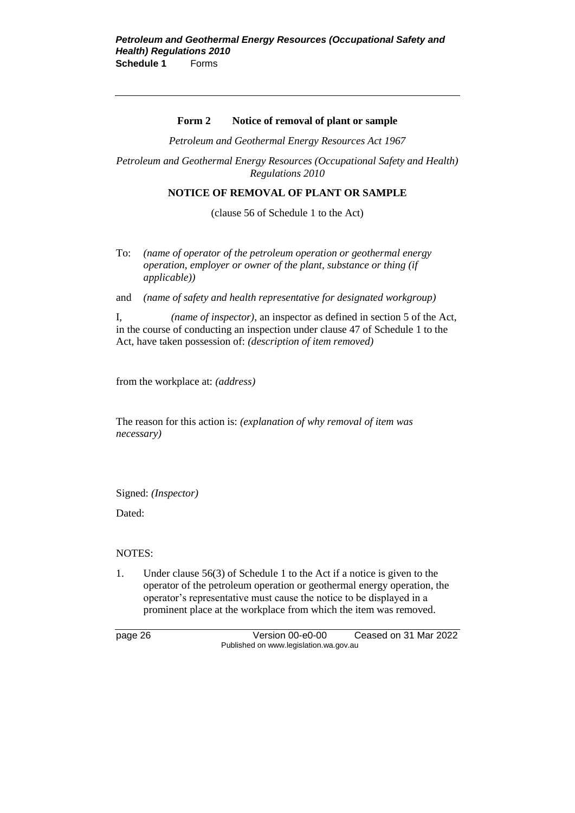#### **Form 2 Notice of removal of plant or sample**

*Petroleum and Geothermal Energy Resources Act 1967*

*Petroleum and Geothermal Energy Resources (Occupational Safety and Health) Regulations 2010*

#### **NOTICE OF REMOVAL OF PLANT OR SAMPLE**

(clause 56 of Schedule 1 to the Act)

To: *(name of operator of the petroleum operation or geothermal energy operation, employer or owner of the plant, substance or thing (if applicable))*

and *(name of safety and health representative for designated workgroup)*

I, *(name of inspector)*, an inspector as defined in section 5 of the Act, in the course of conducting an inspection under clause 47 of Schedule 1 to the Act, have taken possession of: *(description of item removed)*

from the workplace at: *(address)*

The reason for this action is: *(explanation of why removal of item was necessary)*

Signed: *(Inspector)*

Dated:

#### NOTES:

1. Under clause 56(3) of Schedule 1 to the Act if a notice is given to the operator of the petroleum operation or geothermal energy operation, the operator's representative must cause the notice to be displayed in a prominent place at the workplace from which the item was removed.

page 26 Version 00-e0-00 Ceased on 31 Mar 2022 Published on www.legislation.wa.gov.au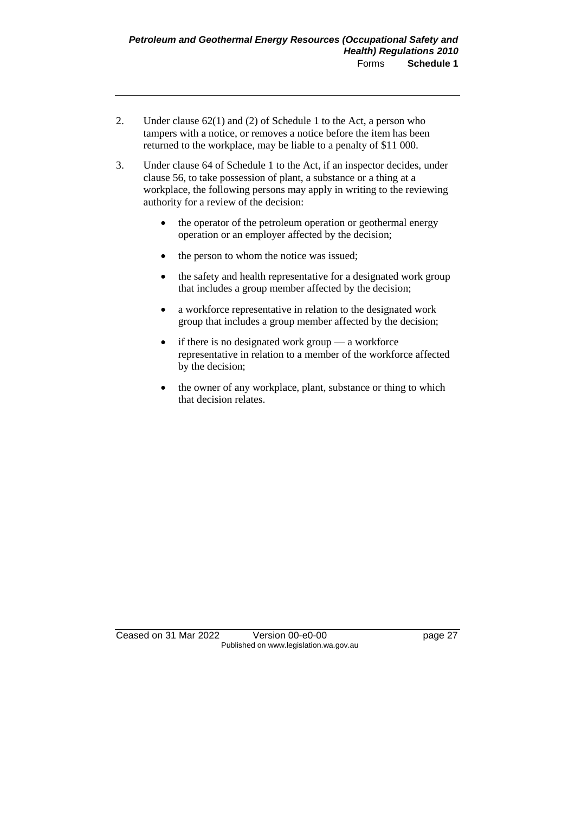- 2. Under clause 62(1) and (2) of Schedule 1 to the Act, a person who tampers with a notice, or removes a notice before the item has been returned to the workplace, may be liable to a penalty of \$11 000.
- 3. Under clause 64 of Schedule 1 to the Act, if an inspector decides, under clause 56, to take possession of plant, a substance or a thing at a workplace, the following persons may apply in writing to the reviewing authority for a review of the decision:
	- the operator of the petroleum operation or geothermal energy operation or an employer affected by the decision;
	- the person to whom the notice was issued;
	- the safety and health representative for a designated work group that includes a group member affected by the decision;
	- a workforce representative in relation to the designated work group that includes a group member affected by the decision;
	- if there is no designated work group a workforce representative in relation to a member of the workforce affected by the decision;
	- the owner of any workplace, plant, substance or thing to which that decision relates.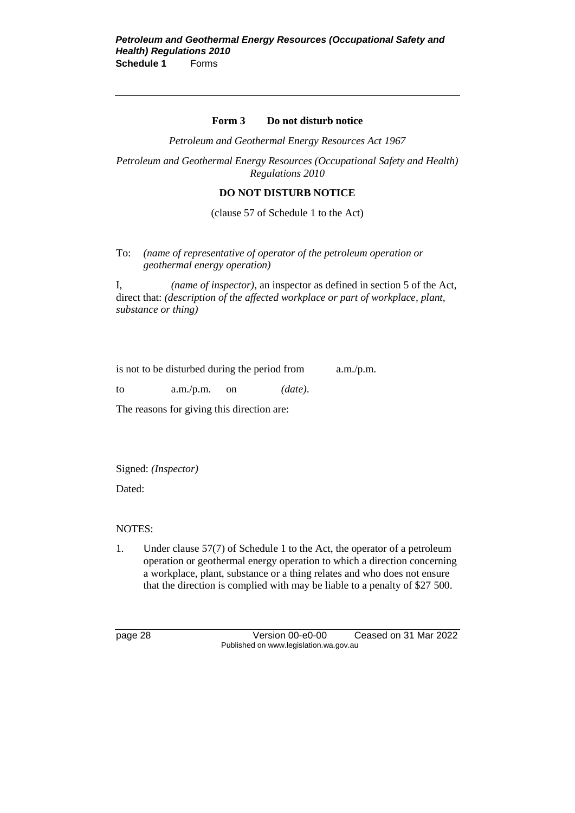#### **Form 3 Do not disturb notice**

*Petroleum and Geothermal Energy Resources Act 1967*

*Petroleum and Geothermal Energy Resources (Occupational Safety and Health) Regulations 2010*

#### **DO NOT DISTURB NOTICE**

(clause 57 of Schedule 1 to the Act)

To: *(name of representative of operator of the petroleum operation or geothermal energy operation)*

I, *(name of inspector)*, an inspector as defined in section 5 of the Act, direct that: *(description of the affected workplace or part of workplace, plant, substance or thing)*

| is not to be disturbed during the period from |            | a.m./p.m. |
|-----------------------------------------------|------------|-----------|
|                                               | $\sqrt{1}$ |           |

to a.m./p.m. on *(date)*.

The reasons for giving this direction are:

Signed: *(Inspector)*

Dated:

NOTES:

1*.* Under clause 57(7) of Schedule 1 to the Act, the operator of a petroleum operation or geothermal energy operation to which a direction concerning a workplace, plant, substance or a thing relates and who does not ensure that the direction is complied with may be liable to a penalty of \$27 500.

page 28 Version 00-e0-00 Ceased on 31 Mar 2022 Published on www.legislation.wa.gov.au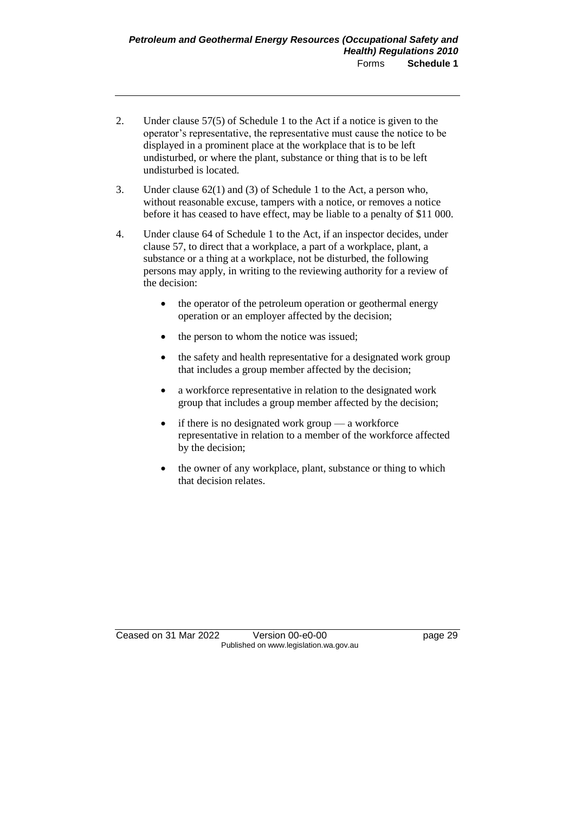- 2. Under clause 57(5) of Schedule 1 to the Act if a notice is given to the operator's representative, the representative must cause the notice to be displayed in a prominent place at the workplace that is to be left undisturbed, or where the plant, substance or thing that is to be left undisturbed is located.
- 3. Under clause 62(1) and (3) of Schedule 1 to the Act, a person who, without reasonable excuse, tampers with a notice, or removes a notice before it has ceased to have effect, may be liable to a penalty of \$11 000.
- 4. Under clause 64 of Schedule 1 to the Act, if an inspector decides, under clause 57, to direct that a workplace, a part of a workplace, plant, a substance or a thing at a workplace, not be disturbed, the following persons may apply, in writing to the reviewing authority for a review of the decision:
	- the operator of the petroleum operation or geothermal energy operation or an employer affected by the decision;
	- the person to whom the notice was issued;
	- the safety and health representative for a designated work group that includes a group member affected by the decision;
	- a workforce representative in relation to the designated work group that includes a group member affected by the decision;
	- if there is no designated work group  $-$  a workforce representative in relation to a member of the workforce affected by the decision;
	- the owner of any workplace, plant, substance or thing to which that decision relates.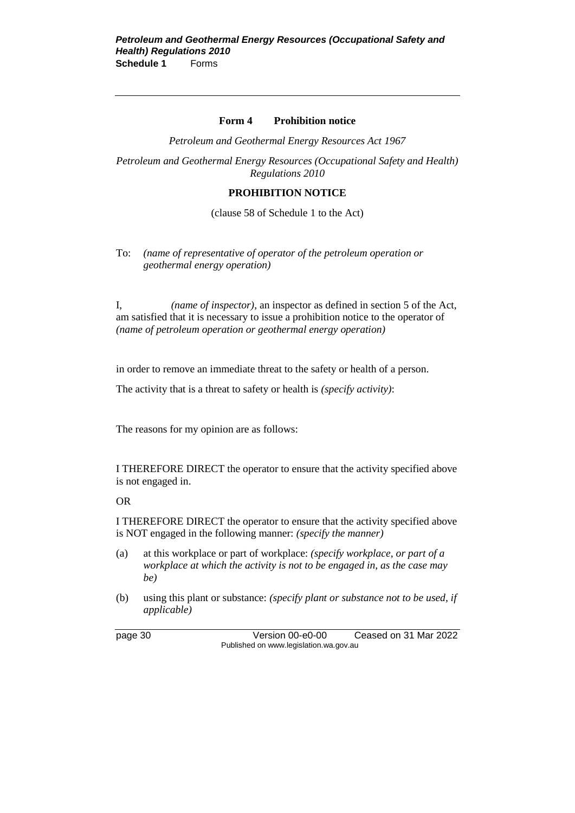#### **Form 4 Prohibition notice**

*Petroleum and Geothermal Energy Resources Act 1967*

*Petroleum and Geothermal Energy Resources (Occupational Safety and Health) Regulations 2010*

#### **PROHIBITION NOTICE**

(clause 58 of Schedule 1 to the Act)

To: *(name of representative of operator of the petroleum operation or geothermal energy operation)*

I, *(name of inspector)*, an inspector as defined in section 5 of the Act, am satisfied that it is necessary to issue a prohibition notice to the operator of *(name of petroleum operation or geothermal energy operation)*

in order to remove an immediate threat to the safety or health of a person.

The activity that is a threat to safety or health is *(specify activity)*:

The reasons for my opinion are as follows:

I THEREFORE DIRECT the operator to ensure that the activity specified above is not engaged in.

OR

I THEREFORE DIRECT the operator to ensure that the activity specified above is NOT engaged in the following manner: *(specify the manner)*

- (a) at this workplace or part of workplace: *(specify workplace, or part of a workplace at which the activity is not to be engaged in, as the case may be)*
- (b) using this plant or substance: *(specify plant or substance not to be used, if applicable)*

page 30 Version 00-e0-00 Ceased on 31 Mar 2022 Published on www.legislation.wa.gov.au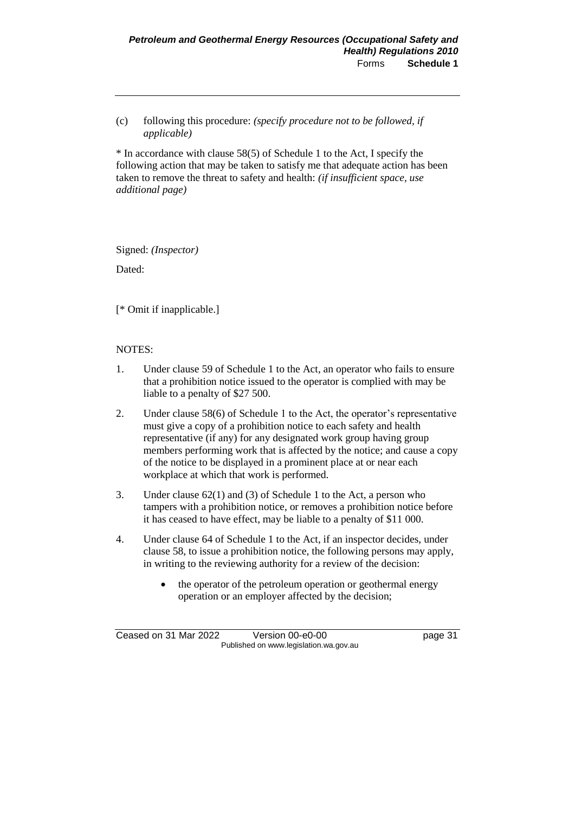(c) following this procedure: *(specify procedure not to be followed, if applicable)*

\* In accordance with clause 58(5) of Schedule 1 to the Act, I specify the following action that may be taken to satisfy me that adequate action has been taken to remove the threat to safety and health: *(if insufficient space, use additional page)*

Signed: *(Inspector)*

Dated:

[\* Omit if inapplicable.]

#### NOTES:

- 1. Under clause 59 of Schedule 1 to the Act, an operator who fails to ensure that a prohibition notice issued to the operator is complied with may be liable to a penalty of \$27 500.
- 2. Under clause 58(6) of Schedule 1 to the Act, the operator's representative must give a copy of a prohibition notice to each safety and health representative (if any) for any designated work group having group members performing work that is affected by the notice; and cause a copy of the notice to be displayed in a prominent place at or near each workplace at which that work is performed.
- 3. Under clause 62(1) and (3) of Schedule 1 to the Act, a person who tampers with a prohibition notice, or removes a prohibition notice before it has ceased to have effect, may be liable to a penalty of \$11 000.
- 4. Under clause 64 of Schedule 1 to the Act, if an inspector decides, under clause 58, to issue a prohibition notice, the following persons may apply, in writing to the reviewing authority for a review of the decision:
	- the operator of the petroleum operation or geothermal energy operation or an employer affected by the decision;

Ceased on 31 Mar 2022 Version 00-e0-00 page 31 Published on www.legislation.wa.gov.au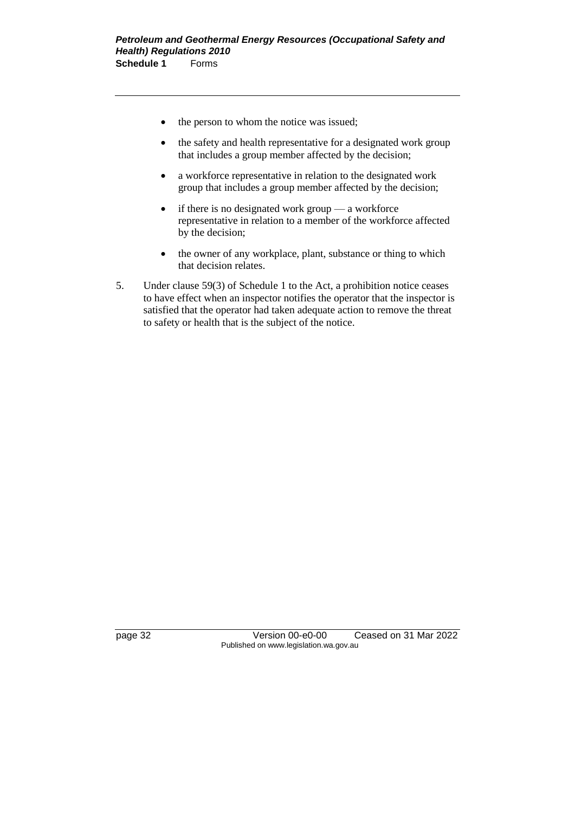- the person to whom the notice was issued;
- the safety and health representative for a designated work group that includes a group member affected by the decision;
- a workforce representative in relation to the designated work group that includes a group member affected by the decision;
- if there is no designated work group a workforce representative in relation to a member of the workforce affected by the decision;
- the owner of any workplace, plant, substance or thing to which that decision relates.
- 5. Under clause 59(3) of Schedule 1 to the Act, a prohibition notice ceases to have effect when an inspector notifies the operator that the inspector is satisfied that the operator had taken adequate action to remove the threat to safety or health that is the subject of the notice.

page 32 Version 00-e0-00 Ceased on 31 Mar 2022 Published on www.legislation.wa.gov.au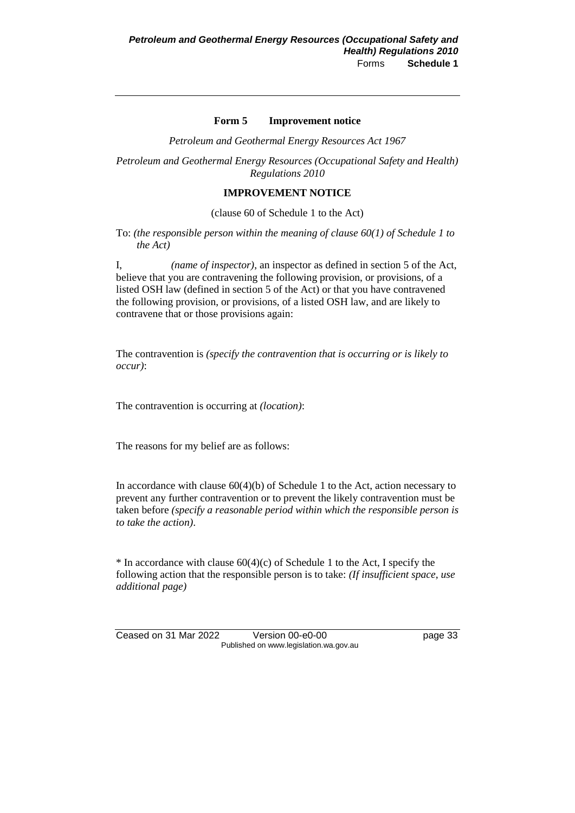#### **Form 5 Improvement notice**

*Petroleum and Geothermal Energy Resources Act 1967*

*Petroleum and Geothermal Energy Resources (Occupational Safety and Health) Regulations 2010*

#### **IMPROVEMENT NOTICE**

(clause 60 of Schedule 1 to the Act)

To: *(the responsible person within the meaning of clause 60(1) of Schedule 1 to the Act)*

I, *(name of inspector)*, an inspector as defined in section 5 of the Act, believe that you are contravening the following provision, or provisions, of a listed OSH law (defined in section 5 of the Act) or that you have contravened the following provision, or provisions, of a listed OSH law, and are likely to contravene that or those provisions again:

The contravention is *(specify the contravention that is occurring or is likely to occur)*:

The contravention is occurring at *(location)*:

The reasons for my belief are as follows:

In accordance with clause  $60(4)(b)$  of Schedule 1 to the Act, action necessary to prevent any further contravention or to prevent the likely contravention must be taken before *(specify a reasonable period within which the responsible person is to take the action)*.

 $*$  In accordance with clause 60(4)(c) of Schedule 1 to the Act, I specify the following action that the responsible person is to take: *(If insufficient space, use additional page)*

Ceased on 31 Mar 2022 Version 00-e0-00 page 33 Published on www.legislation.wa.gov.au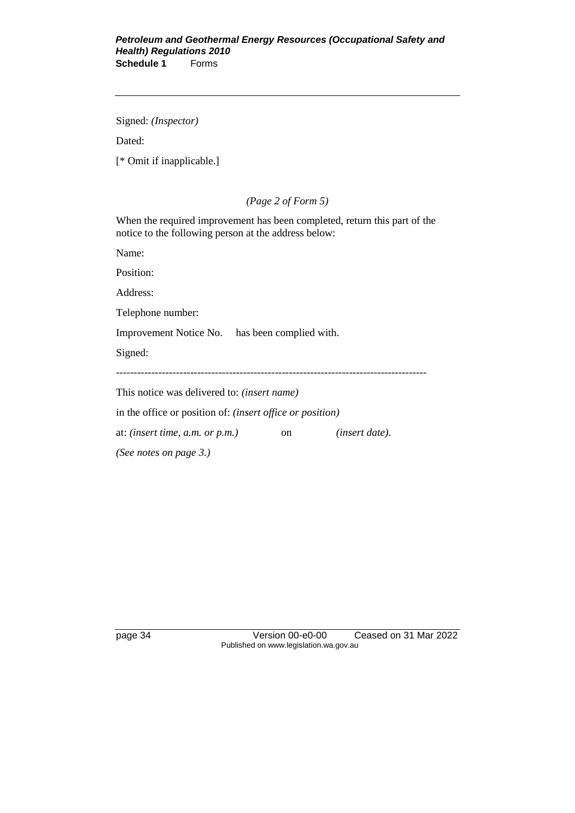Signed: *(Inspector)*

Dated:

[\* Omit if inapplicable.]

*(Page 2 of Form 5)*

When the required improvement has been completed, return this part of the notice to the following person at the address below:

Name:

Position:

Address:

Telephone number:

Improvement Notice No. has been complied with.

Signed:

----------------------------------------------------------------------------------------

This notice was delivered to: *(insert name)*

in the office or position of: *(insert office or position)*

at: *(insert time, a.m. or p.m.)* on *(insert date)*.

*(See notes on page 3.)*

page 34 Version 00-e0-00 Ceased on 31 Mar 2022 Published on www.legislation.wa.gov.au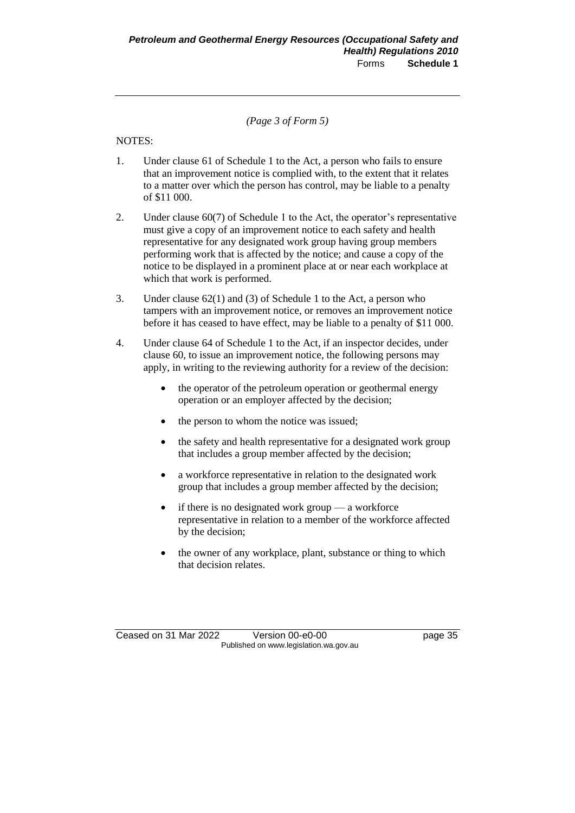*(Page 3 of Form 5)*

#### NOTES:

- 1. Under clause 61 of Schedule 1 to the Act, a person who fails to ensure that an improvement notice is complied with, to the extent that it relates to a matter over which the person has control, may be liable to a penalty of \$11 000.
- 2. Under clause 60(7) of Schedule 1 to the Act, the operator's representative must give a copy of an improvement notice to each safety and health representative for any designated work group having group members performing work that is affected by the notice; and cause a copy of the notice to be displayed in a prominent place at or near each workplace at which that work is performed.
- 3. Under clause 62(1) and (3) of Schedule 1 to the Act, a person who tampers with an improvement notice, or removes an improvement notice before it has ceased to have effect, may be liable to a penalty of \$11 000.
- 4. Under clause 64 of Schedule 1 to the Act, if an inspector decides, under clause 60, to issue an improvement notice, the following persons may apply, in writing to the reviewing authority for a review of the decision:
	- the operator of the petroleum operation or geothermal energy operation or an employer affected by the decision;
	- the person to whom the notice was issued;
	- the safety and health representative for a designated work group that includes a group member affected by the decision;
	- a workforce representative in relation to the designated work group that includes a group member affected by the decision;
	- if there is no designated work group  $-$  a workforce representative in relation to a member of the workforce affected by the decision;
	- the owner of any workplace, plant, substance or thing to which that decision relates.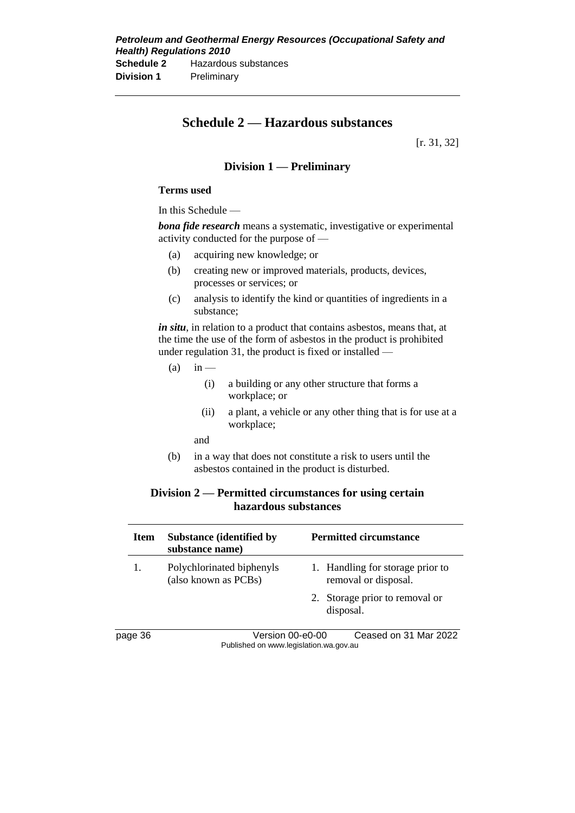# **Schedule 2 — Hazardous substances**

[r. 31, 32]

### **Division 1 — Preliminary**

#### **Terms used**

In this Schedule —

*bona fide research* means a systematic, investigative or experimental activity conducted for the purpose of —

- (a) acquiring new knowledge; or
- (b) creating new or improved materials, products, devices, processes or services; or
- (c) analysis to identify the kind or quantities of ingredients in a substance;

*in situ*, in relation to a product that contains asbestos, means that, at the time the use of the form of asbestos in the product is prohibited under regulation 31, the product is fixed or installed —

- $(a)$  in
	- (i) a building or any other structure that forms a workplace; or
	- (ii) a plant, a vehicle or any other thing that is for use at a workplace;
	- and
- (b) in a way that does not constitute a risk to users until the asbestos contained in the product is disturbed.

#### **Division 2 — Permitted circumstances for using certain hazardous substances**

| Item   | <b>Substance (identified by</b><br>substance name) | <b>Permitted circumstance</b>                            |
|--------|----------------------------------------------------|----------------------------------------------------------|
| 1.     | Polychlorinated biphenyls<br>(also known as PCBs)  | 1. Handling for storage prior to<br>removal or disposal. |
|        |                                                    | 2. Storage prior to removal or<br>disposal.              |
| אג המנ | Vareion M-00-M                                     | Cassad on 31 Mar 2022                                    |

page 36 Version 00-e0-00 Ceased on 31 Mar 2022 Published on www.legislation.wa.gov.au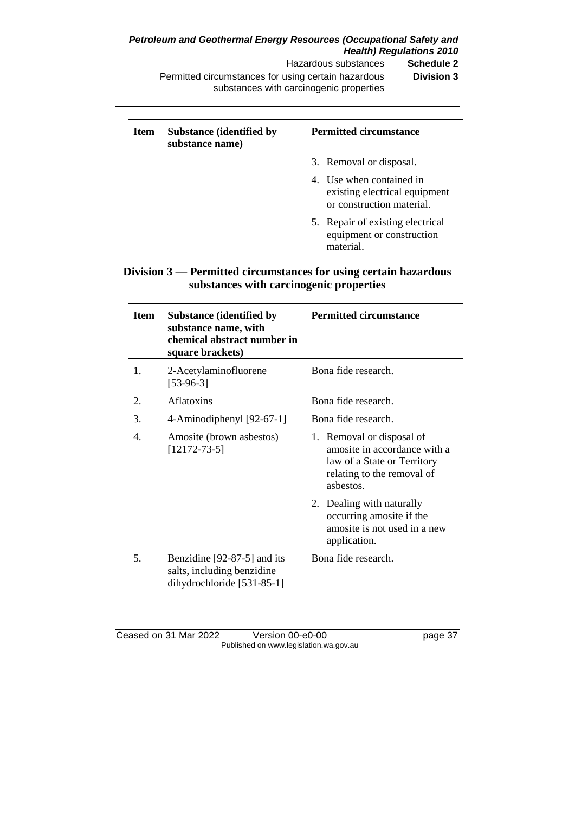**Hazardous substances** 

Permitted circumstances for using certain hazardous substances with carcinogenic properties **Division 3**

| Item | <b>Substance (identified by</b><br>substance name) | <b>Permitted circumstance</b>                                                          |
|------|----------------------------------------------------|----------------------------------------------------------------------------------------|
|      |                                                    | 3. Removal or disposal.                                                                |
|      |                                                    | 4. Use when contained in<br>existing electrical equipment<br>or construction material. |
|      |                                                    | 5. Repair of existing electrical<br>equipment or construction<br>material.             |

## **Division 3 — Permitted circumstances for using certain hazardous substances with carcinogenic properties**

| Item           | <b>Substance (identified by</b><br>substance name, with<br>chemical abstract number in<br>square brackets) | <b>Permitted circumstance</b>                                                                                                       |
|----------------|------------------------------------------------------------------------------------------------------------|-------------------------------------------------------------------------------------------------------------------------------------|
| $\mathbf{1}$ . | 2-Acetylaminofluorene<br>$[53-96-3]$                                                                       | Bona fide research.                                                                                                                 |
| 2.             | <b>Aflatoxins</b>                                                                                          | Bona fide research.                                                                                                                 |
| 3.             | 4-Aminodiphenyl $[92-67-1]$                                                                                | Bona fide research.                                                                                                                 |
| 4.             | Amosite (brown asbestos)<br>$[12172-73-5]$                                                                 | 1. Removal or disposal of<br>amosite in accordance with a<br>law of a State or Territory<br>relating to the removal of<br>ashestos. |
|                |                                                                                                            | 2. Dealing with naturally<br>occurring amosite if the<br>amosite is not used in a new<br>application.                               |
| 5.             | Benzidine [92-87-5] and its<br>salts, including benzidine<br>dihydrochloride [531-85-1]                    | Bona fide research.                                                                                                                 |

#### Ceased on 31 Mar 2022 Version 00-e0-00 page 37 Published on www.legislation.wa.gov.au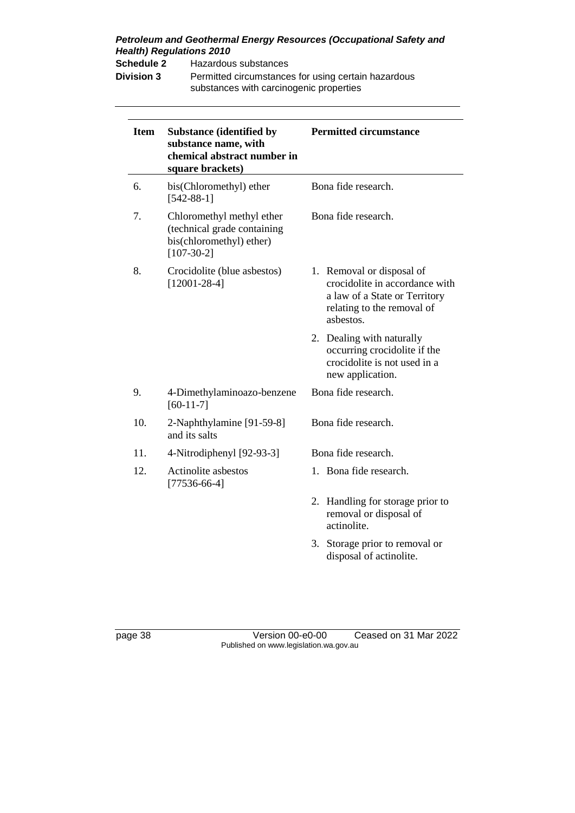**Schedule 2** Hazardous substances

**Division 3** Permitted circumstances for using certain hazardous substances with carcinogenic properties

| <b>Item</b> | <b>Substance (identified by</b><br>substance name, with<br>chemical abstract number in<br>square brackets) | <b>Permitted circumstance</b>                                                                                                           |
|-------------|------------------------------------------------------------------------------------------------------------|-----------------------------------------------------------------------------------------------------------------------------------------|
| 6.          | bis(Chloromethyl) ether<br>$[542-88-1]$                                                                    | Bona fide research.                                                                                                                     |
| 7.          | Chloromethyl methyl ether<br>(technical grade containing<br>bis(chloromethyl) ether)<br>$[107-30-2]$       | Bona fide research.                                                                                                                     |
| 8.          | Crocidolite (blue asbestos)<br>$[12001 - 28 - 4]$                                                          | 1. Removal or disposal of<br>crocidolite in accordance with<br>a law of a State or Territory<br>relating to the removal of<br>asbestos. |
|             |                                                                                                            | 2. Dealing with naturally<br>occurring crocidolite if the<br>crocidolite is not used in a<br>new application.                           |
| 9.          | 4-Dimethylaminoazo-benzene<br>$[60-11-7]$                                                                  | Bona fide research.                                                                                                                     |
| 10.         | 2-Naphthylamine [91-59-8]<br>and its salts                                                                 | Bona fide research.                                                                                                                     |
| 11.         | 4-Nitrodiphenyl [92-93-3]                                                                                  | Bona fide research.                                                                                                                     |
| 12.         | Actinolite asbestos<br>$[77536-66-4]$                                                                      | 1. Bona fide research.                                                                                                                  |
|             |                                                                                                            | Handling for storage prior to<br>2.<br>removal or disposal of<br>actinolite.                                                            |
|             |                                                                                                            | 3. Storage prior to removal or<br>disposal of actinolite.                                                                               |

page 38 Version 00-e0-00 Ceased on 31 Mar 2022 Published on www.legislation.wa.gov.au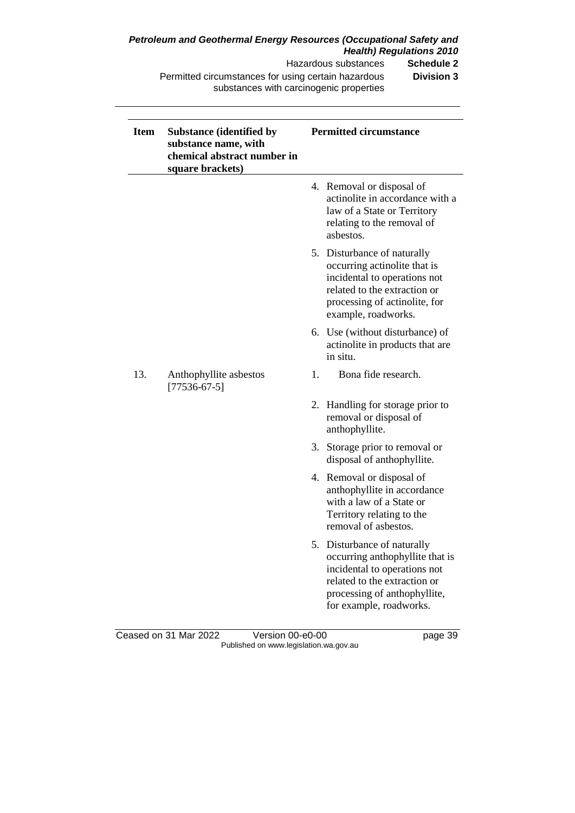Hazardous substances **Schedule 2**

Permitted circumstances for using certain hazardous substances with carcinogenic properties **Division 3**

| <b>Item</b> | <b>Substance (identified by</b><br>substance name, with<br>chemical abstract number in<br>square brackets) |    | <b>Permitted circumstance</b>                                                                                                                                                             |
|-------------|------------------------------------------------------------------------------------------------------------|----|-------------------------------------------------------------------------------------------------------------------------------------------------------------------------------------------|
|             |                                                                                                            |    | 4. Removal or disposal of<br>actinolite in accordance with a<br>law of a State or Territory<br>relating to the removal of<br>asbestos.                                                    |
|             |                                                                                                            |    | 5. Disturbance of naturally<br>occurring actinolite that is<br>incidental to operations not<br>related to the extraction or<br>processing of actinolite, for<br>example, roadworks.       |
|             |                                                                                                            |    | 6. Use (without disturbance) of<br>actinolite in products that are<br>in situ.                                                                                                            |
| 13.         | Anthophyllite asbestos<br>$[77536-67-5]$                                                                   | 1. | Bona fide research.                                                                                                                                                                       |
|             |                                                                                                            |    | 2. Handling for storage prior to<br>removal or disposal of<br>anthophyllite.                                                                                                              |
|             |                                                                                                            |    | 3. Storage prior to removal or<br>disposal of anthophyllite.                                                                                                                              |
|             |                                                                                                            |    | 4. Removal or disposal of<br>anthophyllite in accordance<br>with a law of a State or<br>Territory relating to the<br>removal of asbestos.                                                 |
|             |                                                                                                            |    | 5. Disturbance of naturally<br>occurring anthophyllite that is<br>incidental to operations not<br>related to the extraction or<br>processing of anthophyllite,<br>for example, roadworks. |

Ceased on 31 Mar 2022 Version 00-e0-00 page 39 Published on www.legislation.wa.gov.au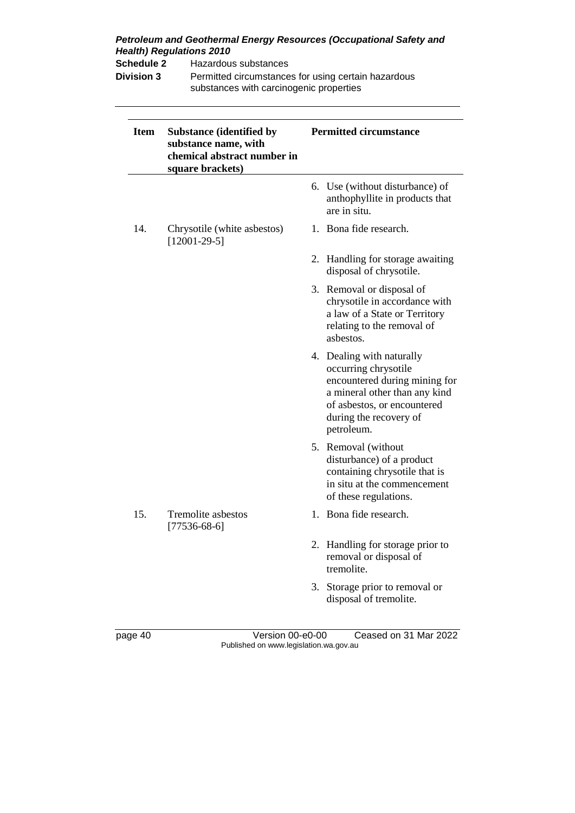| <b>Health) Regulations 2010</b><br><b>Schedule 2</b><br>Hazardous substances<br><b>Division 3</b><br>substances with carcinogenic properties |                                                                                                            | Permitted circumstances for using certain hazardous |                                                                                                                                                                                            |  |
|----------------------------------------------------------------------------------------------------------------------------------------------|------------------------------------------------------------------------------------------------------------|-----------------------------------------------------|--------------------------------------------------------------------------------------------------------------------------------------------------------------------------------------------|--|
| <b>Item</b>                                                                                                                                  | <b>Substance (identified by</b><br>substance name, with<br>chemical abstract number in<br>square brackets) |                                                     | <b>Permitted circumstance</b>                                                                                                                                                              |  |
|                                                                                                                                              |                                                                                                            |                                                     | 6. Use (without disturbance) of<br>anthophyllite in products that<br>are in situ.                                                                                                          |  |
| 14.                                                                                                                                          | Chrysotile (white asbestos)<br>$[12001-29-5]$                                                              |                                                     | 1. Bona fide research.                                                                                                                                                                     |  |
|                                                                                                                                              |                                                                                                            |                                                     | 2. Handling for storage awaiting<br>disposal of chrysotile.                                                                                                                                |  |
|                                                                                                                                              |                                                                                                            |                                                     | 3. Removal or disposal of<br>chrysotile in accordance with<br>a law of a State or Territory<br>relating to the removal of<br>asbestos.                                                     |  |
|                                                                                                                                              |                                                                                                            |                                                     | 4. Dealing with naturally<br>occurring chrysotile<br>encountered during mining for<br>a mineral other than any kind<br>of asbestos, or encountered<br>during the recovery of<br>petroleum. |  |
|                                                                                                                                              |                                                                                                            |                                                     | 5. Removal (without<br>disturbance) of a product<br>containing chrysotile that is<br>in situ at the commencement<br>of these regulations.                                                  |  |
| 15.                                                                                                                                          | Tremolite asbestos<br>$[77536-68-6]$                                                                       |                                                     | 1. Bona fide research.                                                                                                                                                                     |  |
|                                                                                                                                              |                                                                                                            |                                                     | 2. Handling for storage prior to<br>removal or disposal of<br>tremolite.                                                                                                                   |  |
|                                                                                                                                              |                                                                                                            |                                                     | 3. Storage prior to removal or<br>disposal of tremolite.                                                                                                                                   |  |

page 40 Version 00-e0-00 Ceased on 31 Mar 2022 Published on www.legislation.wa.gov.au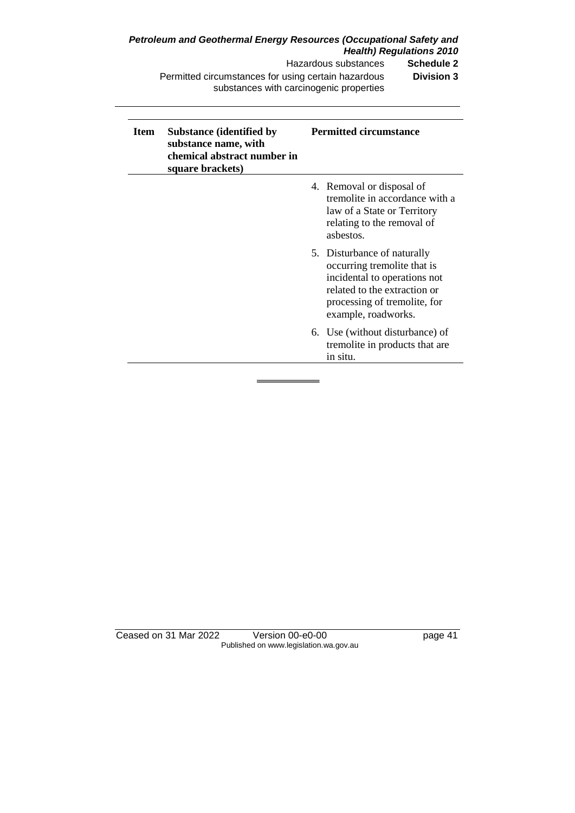Hazardous substances **Schedule 2** Permitted circumstances for using certain hazardous substances with carcinogenic properties **Division 3**

| <b>Item</b> | <b>Substance (identified by</b><br>substance name, with<br>chemical abstract number in<br>square brackets) | <b>Permitted circumstance</b>                                                                                                                                                     |
|-------------|------------------------------------------------------------------------------------------------------------|-----------------------------------------------------------------------------------------------------------------------------------------------------------------------------------|
|             |                                                                                                            | 4. Removal or disposal of<br>tremolite in accordance with a<br>law of a State or Territory<br>relating to the removal of<br>asbestos.                                             |
|             |                                                                                                            | 5. Disturbance of naturally<br>occurring tremolite that is<br>incidental to operations not<br>related to the extraction or<br>processing of tremolite, for<br>example, roadworks. |
|             |                                                                                                            | 6. Use (without disturbance) of<br>tremolite in products that are<br>in situ.                                                                                                     |

Ceased on 31 Mar 2022 Version 00-e0-00 page 41 Published on www.legislation.wa.gov.au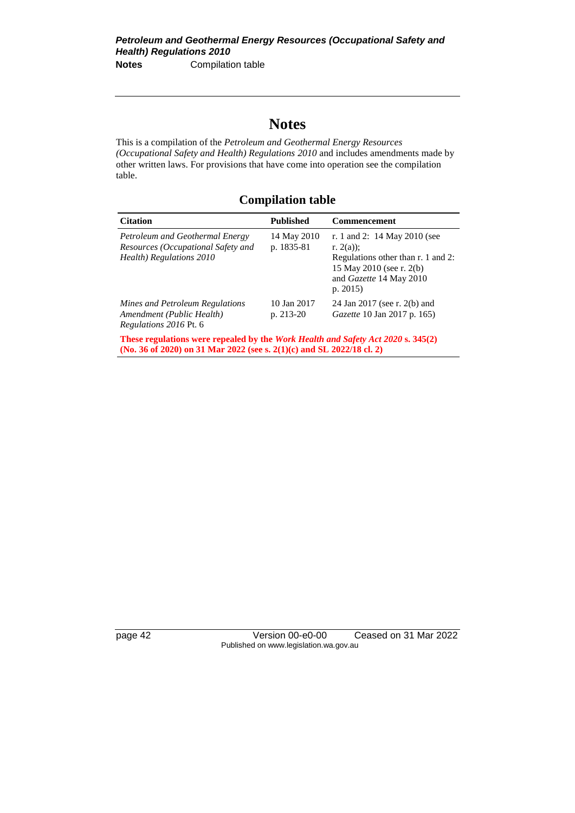# **Notes**

This is a compilation of the *Petroleum and Geothermal Energy Resources (Occupational Safety and Health) Regulations 2010* and includes amendments made by other written laws. For provisions that have come into operation see the compilation table.

## **Compilation table**

| <b>Citation</b>                                                                                                                                                  | <b>Published</b>          | <b>Commencement</b>                                                                                                                                        |
|------------------------------------------------------------------------------------------------------------------------------------------------------------------|---------------------------|------------------------------------------------------------------------------------------------------------------------------------------------------------|
| Petroleum and Geothermal Energy<br>Resources (Occupational Safety and<br>Health) Regulations 2010                                                                | 14 May 2010<br>p. 1835-81 | r. 1 and 2: 14 May 2010 (see<br>r. $2(a)$ :<br>Regulations other than r. 1 and 2:<br>15 May 2010 (see r. 2(b)<br>and <i>Gazette</i> 14 May 2010<br>p. 2015 |
| Mines and Petroleum Regulations<br>Amendment (Public Health)<br>Regulations 2016 Pt. 6                                                                           | 10 Jan 2017<br>p. 213-20  | 24 Jan 2017 (see r. 2(b) and<br><i>Gazette</i> 10 Jan 2017 p. 165)                                                                                         |
| These regulations were repealed by the <i>Work Health and Safety Act 2020</i> s. 345(2)<br>(No. 36 of 2020) on 31 Mar 2022 (see s. 2(1)(c) and SL 2022/18 cl. 2) |                           |                                                                                                                                                            |

page 42 Version 00-e0-00 Ceased on 31 Mar 2022 Published on www.legislation.wa.gov.au